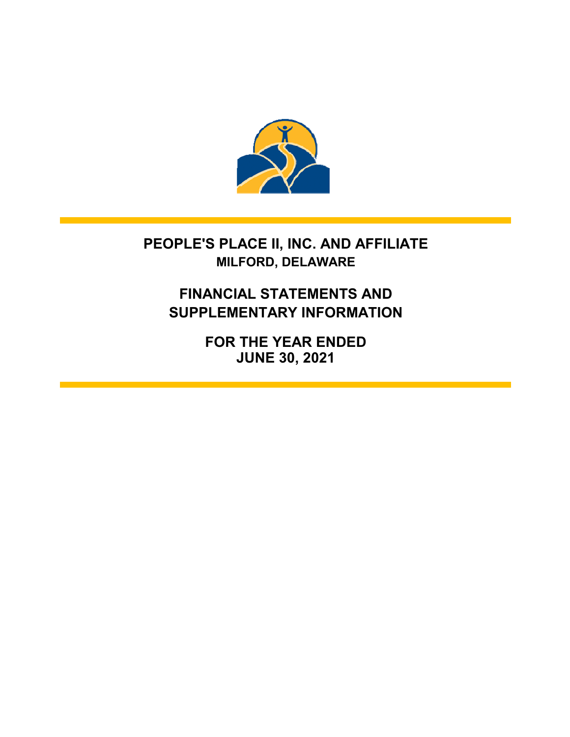

# **PEOPLE'S PLACE II, INC. AND AFFILIATE MILFORD, DELAWARE**

**FINANCIAL STATEMENTS AND SUPPLEMENTARY INFORMATION**

> **JUNE 30, 2021 FOR THE YEAR ENDED**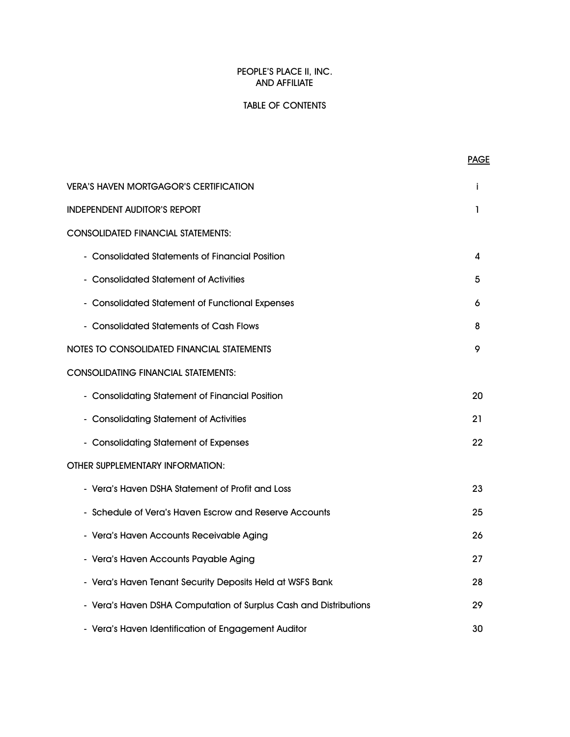## TABLE OF CONTENTS

|                                                                   | <b>PAGE</b> |
|-------------------------------------------------------------------|-------------|
| VERA'S HAVEN MORTGAGOR'S CERTIFICATION                            | i           |
| <b>INDEPENDENT AUDITOR'S REPORT</b>                               | 1           |
| <b>CONSOLIDATED FINANCIAL STATEMENTS:</b>                         |             |
| - Consolidated Statements of Financial Position                   | 4           |
| - Consolidated Statement of Activities                            | 5           |
| - Consolidated Statement of Functional Expenses                   | 6           |
| - Consolidated Statements of Cash Flows                           | 8           |
| NOTES TO CONSOLIDATED FINANCIAL STATEMENTS                        | 9           |
| <b>CONSOLIDATING FINANCIAL STATEMENTS:</b>                        |             |
| - Consolidating Statement of Financial Position                   | 20          |
| - Consolidating Statement of Activities                           | 21          |
| - Consolidating Statement of Expenses                             | 22          |
| OTHER SUPPLEMENTARY INFORMATION:                                  |             |
| - Vera's Haven DSHA Statement of Profit and Loss                  | 23          |
| - Schedule of Vera's Haven Escrow and Reserve Accounts            | 25          |
| - Vera's Haven Accounts Receivable Aging                          | 26          |
| - Vera's Haven Accounts Payable Aging                             | 27          |
| - Vera's Haven Tenant Security Deposits Held at WSFS Bank         | 28          |
| - Vera's Haven DSHA Computation of Surplus Cash and Distributions | 29          |
| - Vera's Haven Identification of Engagement Auditor               | 30          |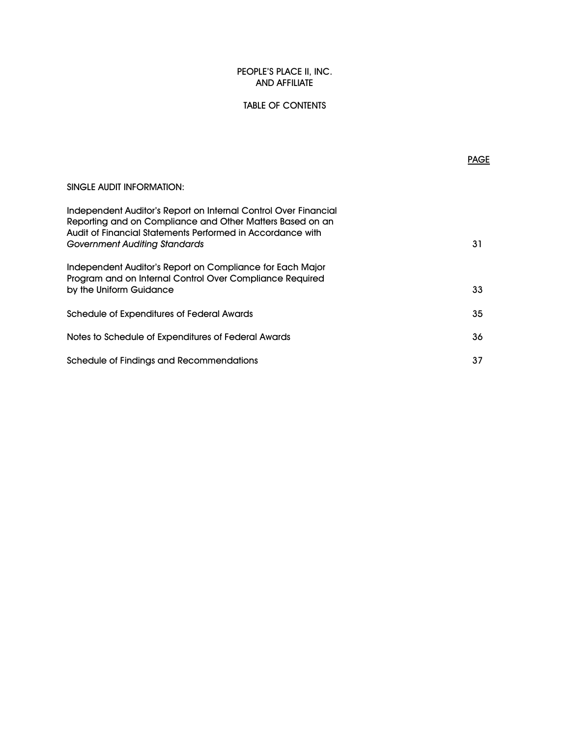### TABLE OF CONTENTS

**PAGE** 

| SINGLE AUDIT INFORMATION:                                                                                                                                                                                                   |    |
|-----------------------------------------------------------------------------------------------------------------------------------------------------------------------------------------------------------------------------|----|
| Independent Auditor's Report on Internal Control Over Financial<br>Reporting and on Compliance and Other Matters Based on an<br>Audit of Financial Statements Performed in Accordance with<br>Government Auditing Standards | 31 |
| Independent Auditor's Report on Compliance for Each Major<br>Program and on Internal Control Over Compliance Required<br>by the Uniform Guidance                                                                            | 33 |
| <b>Schedule of Expenditures of Federal Awards</b>                                                                                                                                                                           | 35 |
| Notes to Schedule of Expenditures of Federal Awards                                                                                                                                                                         | 36 |
| Schedule of Findings and Recommendations                                                                                                                                                                                    | 37 |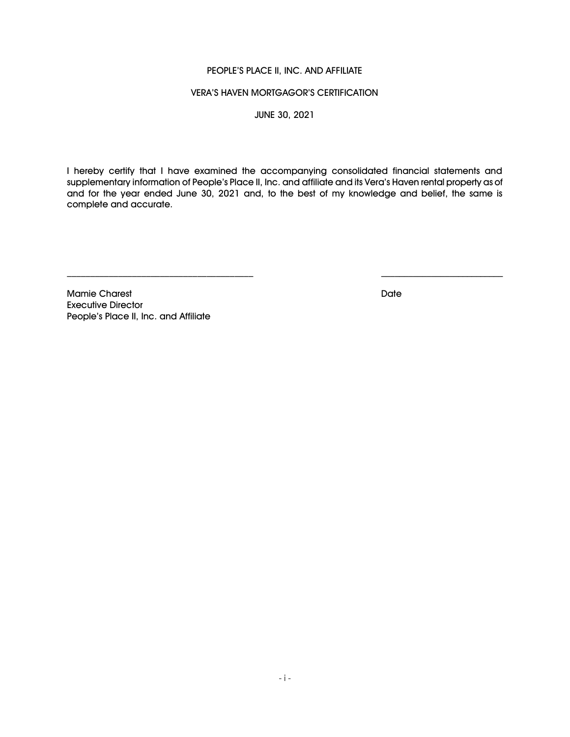#### VERA'S HAVEN MORTGAGOR'S CERTIFICATION

JUNE 30, 2021

I hereby certify that I have examined the accompanying consolidated financial statements and supplementary information of People's Place II, Inc. and affiliate and its Vera's Haven rental property as of and for the year ended June 30, 2021 and, to the best of my knowledge and belief, the same is complete and accurate.

Mamie Charest **Date** Executive Director People's Place II, Inc. and Affiliate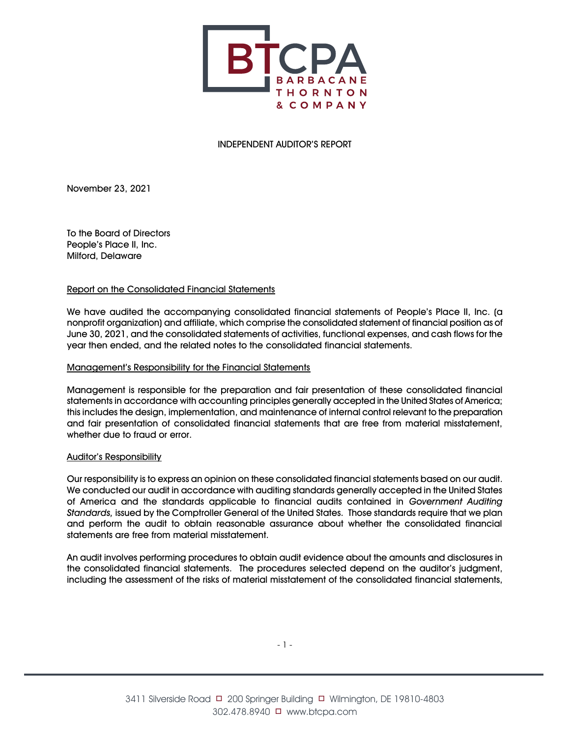

#### INDEPENDENT AUDITOR'S REPORT

November 23, 2021

To the Board of Directors People's Place II, Inc. Milford, Delaware

#### Report on the Consolidated Financial Statements

We have audited the accompanying consolidated financial statements of People's Place II, Inc. (a nonprofit organization) and affiliate, which comprise the consolidated statement of financial position as of June 30, 2021, and the consolidated statements of activities, functional expenses, and cash flows for the year then ended, and the related notes to the consolidated financial statements.

#### Management's Responsibility for the Financial Statements

Management is responsible for the preparation and fair presentation of these consolidated financial statements in accordance with accounting principles generally accepted in the United States of America; this includes the design, implementation, and maintenance of internal control relevant to the preparation and fair presentation of consolidated financial statements that are free from material misstatement, whether due to fraud or error.

#### Auditor's Responsibility

Our responsibility is to express an opinion on these consolidated financial statements based on our audit. We conducted our audit in accordance with auditing standards generally accepted in the United States of America and the standards applicable to financial audits contained in *Government Auditing Standards,* issued by the Comptroller General of the United States. Those standards require that we plan and perform the audit to obtain reasonable assurance about whether the consolidated financial statements are free from material misstatement.

An audit involves performing procedures to obtain audit evidence about the amounts and disclosures in the consolidated financial statements. The procedures selected depend on the auditor's judgment, including the assessment of the risks of material misstatement of the consolidated financial statements,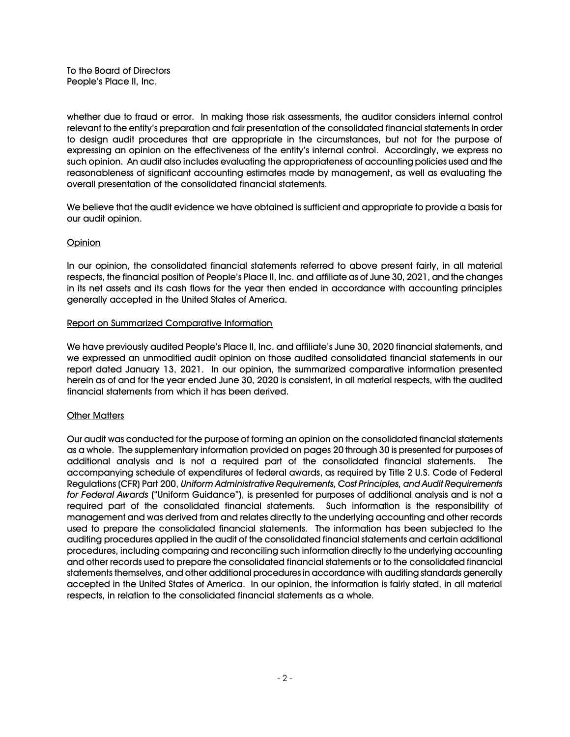To the Board of Directors People's Place II, Inc.

whether due to fraud or error. In making those risk assessments, the auditor considers internal control relevant to the entity's preparation and fair presentation of the consolidated financial statements in order to design audit procedures that are appropriate in the circumstances, but not for the purpose of expressing an opinion on the effectiveness of the entity's internal control. Accordingly, we express no such opinion. An audit also includes evaluating the appropriateness of accounting policies used and the reasonableness of significant accounting estimates made by management, as well as evaluating the overall presentation of the consolidated financial statements.

We believe that the audit evidence we have obtained is sufficient and appropriate to provide a basis for our audit opinion.

#### **Opinion**

In our opinion, the consolidated financial statements referred to above present fairly, in all material respects, the financial position of People's Place II, Inc. and affiliate as of June 30, 2021, and the changes in its net assets and its cash flows for the year then ended in accordance with accounting principles generally accepted in the United States of America.

#### Report on Summarized Comparative Information

We have previously audited People's Place II, Inc. and affiliate's June 30, 2020 financial statements, and we expressed an unmodified audit opinion on those audited consolidated financial statements in our report dated January 13, 2021. In our opinion, the summarized comparative information presented herein as of and for the year ended June 30, 2020 is consistent, in all material respects, with the audited financial statements from which it has been derived.

#### **Other Matters**

Our audit was conducted for the purpose of forming an opinion on the consolidated financial statements as a whole. The supplementary information provided on pages 20 through 30 is presented for purposes of additional analysis and is not a required part of the consolidated financial statements. The accompanying schedule of expenditures of federal awards, as required by Title 2 U.S. Code of Federal Regulations (CFR) Part 200, *Uniform Administrative Requirements, Cost Principles, and Audit Requirements for Federal Awards* ("Uniform Guidance"), is presented for purposes of additional analysis and is not a required part of the consolidated financial statements. Such information is the responsibility of management and was derived from and relates directly to the underlying accounting and other records used to prepare the consolidated financial statements. The information has been subjected to the auditing procedures applied in the audit of the consolidated financial statements and certain additional procedures, including comparing and reconciling such information directly to the underlying accounting and other records used to prepare the consolidated financial statements or to the consolidated financial statements themselves, and other additional procedures in accordance with auditing standards generally accepted in the United States of America. In our opinion, the information is fairly stated, in all material respects, in relation to the consolidated financial statements as a whole.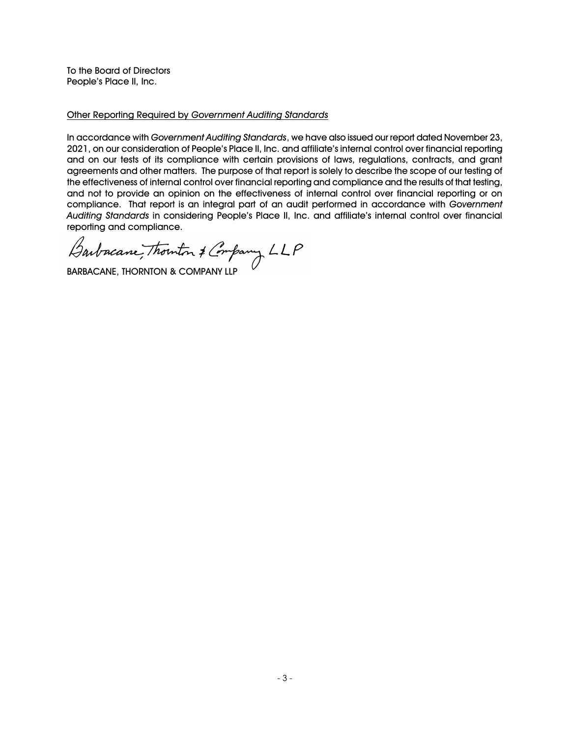To the Board of Directors People's Place II, Inc.

#### Other Reporting Required by *Government Auditing Standards*

In accordance with *Government Auditing Standards*, we have also issued our report dated November 23, 2021, on our consideration of People's Place II, Inc. and affiliate's internal control over financial reporting and on our tests of its compliance with certain provisions of laws, regulations, contracts, and grant agreements and other matters. The purpose of that report is solely to describe the scope of our testing of the effectiveness of internal control over financial reporting and compliance and the results of that testing, and not to provide an opinion on the effectiveness of internal control over financial reporting or on compliance. That report is an integral part of an audit performed in accordance with *Government Auditing Standards* in considering People's Place II, Inc. and affiliate's internal control over financial reporting and compliance.

Barbacane, Thomton & Company LLP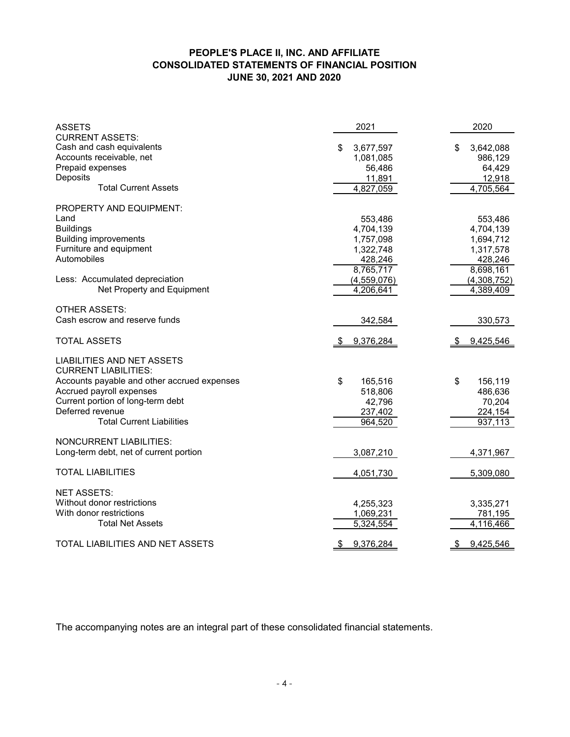## **PEOPLE'S PLACE II, INC. AND AFFILIATE CONSOLIDATED STATEMENTS OF FINANCIAL POSITION JUNE 30, 2021 AND 2020**

| <b>ASSETS</b>                                       | 2021            | 2020            |
|-----------------------------------------------------|-----------------|-----------------|
| <b>CURRENT ASSETS:</b><br>Cash and cash equivalents | \$<br>3,677,597 | \$<br>3,642,088 |
| Accounts receivable, net                            | 1,081,085       | 986,129         |
| Prepaid expenses                                    | 56,486          | 64,429          |
| Deposits<br><b>Total Current Assets</b>             | 11,891          | 12,918          |
|                                                     | 4,827,059       | 4,705,564       |
| <b>PROPERTY AND EQUIPMENT:</b>                      |                 |                 |
| Land                                                | 553,486         | 553,486         |
| <b>Buildings</b>                                    | 4,704,139       | 4,704,139       |
| <b>Building improvements</b>                        | 1,757,098       | 1,694,712       |
| Furniture and equipment                             | 1,322,748       | 1,317,578       |
| Automobiles                                         | 428,246         | 428,246         |
|                                                     | 8,765,717       | 8,698,161       |
| Less: Accumulated depreciation                      | (4, 559, 076)   | (4,308,752)     |
| Net Property and Equipment                          | 4,206,641       | 4,389,409       |
| <b>OTHER ASSETS:</b>                                |                 |                 |
| Cash escrow and reserve funds                       | 342,584         | 330,573         |
|                                                     |                 |                 |
| <b>TOTAL ASSETS</b>                                 | 9,376,284<br>S. | 9,425,546<br>S. |
| <b>LIABILITIES AND NET ASSETS</b>                   |                 |                 |
| <b>CURRENT LIABILITIES:</b>                         |                 |                 |
| Accounts payable and other accrued expenses         | \$<br>165,516   | \$<br>156,119   |
| Accrued payroll expenses                            | 518,806         | 486,636         |
| Current portion of long-term debt                   | 42,796          | 70,204          |
| Deferred revenue                                    | 237,402         | 224,154         |
| <b>Total Current Liabilities</b>                    | 964,520         | 937,113         |
|                                                     |                 |                 |
| <b>NONCURRENT LIABILITIES:</b>                      |                 |                 |
| Long-term debt, net of current portion              | 3,087,210       | 4,371,967       |
| <b>TOTAL LIABILITIES</b>                            | 4,051,730       | 5,309,080       |
|                                                     |                 |                 |
| <b>NET ASSETS:</b>                                  |                 |                 |
| Without donor restrictions                          | 4,255,323       | 3,335,271       |
| With donor restrictions                             | 1,069,231       | 781,195         |
| <b>Total Net Assets</b>                             | 5,324,554       | 4,116,466       |
| TOTAL LIABILITIES AND NET ASSETS                    | 9,376,284<br>\$ | 9,425,546<br>\$ |

The accompanying notes are an integral part of these consolidated financial statements.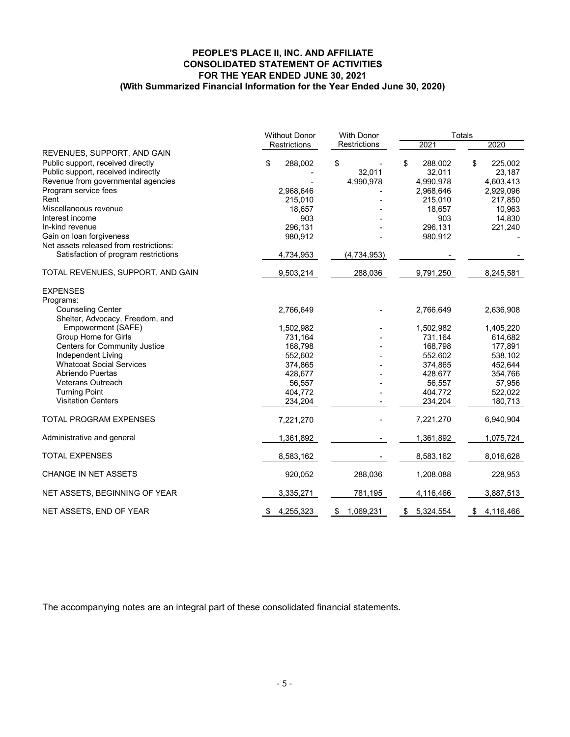#### **PEOPLE'S PLACE II, INC. AND AFFILIATE CONSOLIDATED STATEMENT OF ACTIVITIES FOR THE YEAR ENDED JUNE 30, 2021 (With Summarized Financial Information for the Year Ended June 30, 2020)**

|                                                                  | <b>Without Donor</b> | <b>With Donor</b>   | <b>Totals</b>   |                 |  |
|------------------------------------------------------------------|----------------------|---------------------|-----------------|-----------------|--|
|                                                                  | Restrictions         | <b>Restrictions</b> | 2021            | 2020            |  |
| REVENUES, SUPPORT, AND GAIN<br>Public support, received directly | \$<br>288,002        | \$                  | \$<br>288,002   | 225,002<br>\$   |  |
| Public support, received indirectly                              |                      | 32,011              | 32,011          | 23,187          |  |
| Revenue from governmental agencies                               |                      | 4,990,978           | 4,990,978       | 4,603,413       |  |
| Program service fees                                             | 2,968,646            |                     | 2,968,646       | 2,929,096       |  |
| Rent                                                             | 215,010              |                     | 215,010         | 217,850         |  |
| Miscellaneous revenue                                            | 18,657               |                     | 18,657          | 10,963          |  |
| Interest income                                                  | 903                  |                     | 903             | 14,830          |  |
| In-kind revenue                                                  | 296,131              |                     | 296,131         | 221,240         |  |
| Gain on loan forgiveness                                         | 980,912              |                     | 980,912         |                 |  |
| Net assets released from restrictions:                           |                      |                     |                 |                 |  |
| Satisfaction of program restrictions                             | 4,734,953            | (4,734,953)         |                 |                 |  |
| TOTAL REVENUES, SUPPORT, AND GAIN                                | 9,503,214            | 288,036             | 9,791,250       | 8,245,581       |  |
| <b>EXPENSES</b>                                                  |                      |                     |                 |                 |  |
| Programs:                                                        |                      |                     |                 |                 |  |
| <b>Counseling Center</b><br>Shelter, Advocacy, Freedom, and      | 2,766,649            |                     | 2,766,649       | 2,636,908       |  |
| Empowerment (SAFE)                                               | 1,502,982            |                     | 1,502,982       | 1,405,220       |  |
| Group Home for Girls                                             | 731,164              |                     | 731,164         | 614,682         |  |
| Centers for Community Justice                                    | 168,798              |                     | 168,798         | 177,891         |  |
| Independent Living                                               | 552,602              |                     | 552,602         | 538,102         |  |
| <b>Whatcoat Social Services</b>                                  | 374,865              |                     | 374,865         | 452,644         |  |
| Abriendo Puertas                                                 | 428,677              |                     | 428,677         | 354,766         |  |
| <b>Veterans Outreach</b>                                         | 56,557               |                     | 56,557          | 57,956          |  |
| <b>Turning Point</b>                                             | 404,772              |                     | 404,772         | 522,022         |  |
| <b>Visitation Centers</b>                                        | 234,204              |                     | 234,204         | 180,713         |  |
| <b>TOTAL PROGRAM EXPENSES</b>                                    | 7,221,270            |                     | 7,221,270       | 6,940,904       |  |
| Administrative and general                                       | 1,361,892            |                     | 1,361,892       | 1,075,724       |  |
| <b>TOTAL EXPENSES</b>                                            | 8,583,162            |                     | 8,583,162       | 8,016,628       |  |
| <b>CHANGE IN NET ASSETS</b>                                      | 920,052              | 288,036             | 1,208,088       | 228,953         |  |
| NET ASSETS, BEGINNING OF YEAR                                    | 3,335,271            | 781,195             | 4,116,466       | 3,887,513       |  |
| NET ASSETS, END OF YEAR                                          | 4,255,323<br>\$      | 1,069,231<br>\$     | 5,324,554<br>\$ | 4,116,466<br>\$ |  |

The accompanying notes are an integral part of these consolidated financial statements.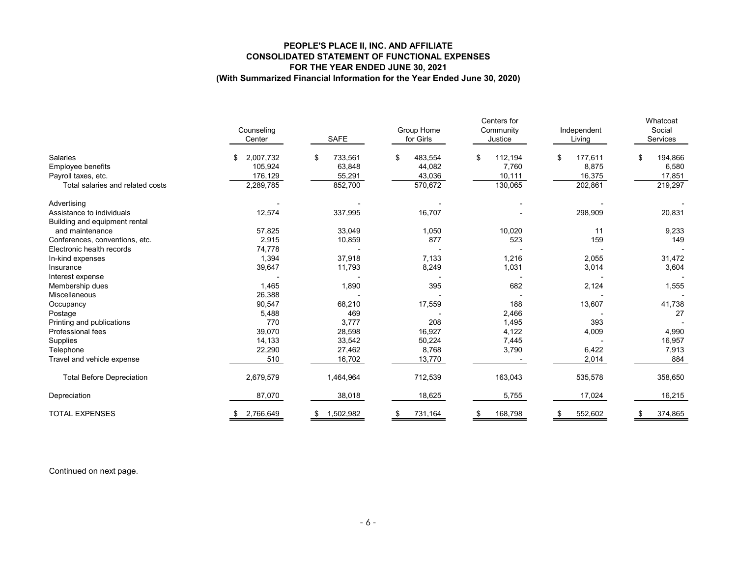#### **PEOPLE'S PLACE II, INC. AND AFFILIATE (With Summarized Financial Information for the Year Ended June 30, 2020) FOR THE YEAR ENDED JUNE 30, 2021 CONSOLIDATED STATEMENT OF FUNCTIONAL EXPENSES**

|                                  | Counseling<br>Center | <b>SAFE</b>     | Group Home<br>for Girls | Centers for<br>Community<br>Justice | Independent<br>Living | Whatcoat<br>Social<br>Services |
|----------------------------------|----------------------|-----------------|-------------------------|-------------------------------------|-----------------------|--------------------------------|
| Salaries                         | 2,007,732            | 733,561<br>\$   | \$<br>483,554           | 112,194<br>\$                       | \$<br>177,611         | 194,866<br>\$                  |
| Employee benefits                | 105,924              | 63,848          | 44,082                  | 7,760                               | 8,875                 | 6,580                          |
| Payroll taxes, etc.              | 176,129              | 55,291          | 43,036                  | 10,111                              | 16,375                | 17,851                         |
| Total salaries and related costs | 2,289,785            | 852,700         | 570,672                 | 130,065                             | 202,861               | 219,297                        |
| Advertising                      |                      |                 |                         |                                     |                       |                                |
| Assistance to individuals        | 12,574               | 337,995         | 16,707                  |                                     | 298,909               | 20,831                         |
| Building and equipment rental    |                      |                 |                         |                                     |                       |                                |
| and maintenance                  | 57,825               | 33,049          | 1,050                   | 10,020                              | 11                    | 9,233                          |
| Conferences, conventions, etc.   | 2,915                | 10,859          | 877                     | 523                                 | 159                   | 149                            |
| Electronic health records        | 74,778               |                 |                         |                                     |                       |                                |
| In-kind expenses                 | 1,394                | 37,918          | 7,133                   | 1,216                               | 2,055                 | 31,472                         |
| Insurance                        | 39,647               | 11,793          | 8,249                   | 1,031                               | 3,014                 | 3,604                          |
| Interest expense                 |                      |                 |                         |                                     |                       |                                |
| Membership dues                  | 1,465                | 1,890           | 395                     | 682                                 | 2,124                 | 1,555                          |
| Miscellaneous                    | 26,388               |                 |                         |                                     |                       |                                |
| Occupancy                        | 90,547               | 68,210          | 17,559                  | 188                                 | 13,607                | 41,738                         |
| Postage                          | 5,488                | 469             |                         | 2,466                               |                       | 27                             |
| Printing and publications        | 770                  | 3,777           | 208                     | 1,495                               | 393                   |                                |
| Professional fees                | 39,070               | 28,598          | 16,927                  | 4,122                               | 4,009                 | 4,990                          |
| <b>Supplies</b>                  | 14,133               | 33,542          | 50,224                  | 7,445                               |                       | 16,957                         |
| Telephone                        | 22,290               | 27,462          | 8,768                   | 3,790                               | 6,422                 | 7,913                          |
| Travel and vehicle expense       | 510                  | 16,702          | 13,770                  |                                     | 2,014                 | 884                            |
| <b>Total Before Depreciation</b> | 2,679,579            | 1,464,964       | 712,539                 | 163,043                             | 535,578               | 358,650                        |
| Depreciation                     | 87,070               | 38,018          | 18,625                  | 5,755                               | 17,024                | 16,215                         |
| <b>TOTAL EXPENSES</b>            | 2,766,649<br>\$      | 1,502,982<br>\$ | 731,164<br>\$           | 168,798<br>\$                       | 552,602<br>\$         | 374,865<br>\$                  |

Continued on next page.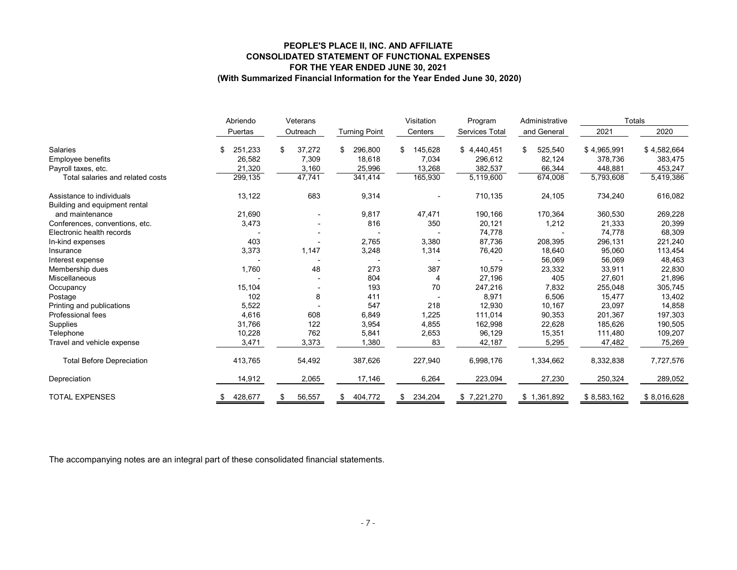#### **(With Summarized Financial Information for the Year Ended June 30, 2020) PEOPLE'S PLACE II, INC. AND AFFILIATE CONSOLIDATED STATEMENT OF FUNCTIONAL EXPENSES FOR THE YEAR ENDED JUNE 30, 2021**

|                                  | Abriendo      | Veterans     |                      | Visitation    | Program               | Administrative |             | <b>Totals</b> |
|----------------------------------|---------------|--------------|----------------------|---------------|-----------------------|----------------|-------------|---------------|
|                                  | Puertas       | Outreach     | <b>Turning Point</b> | Centers       | <b>Services Total</b> | and General    | 2021        | 2020          |
| <b>Salaries</b>                  | 251,233       | 37,272<br>\$ | 296,800<br>\$        | 145,628<br>\$ | \$4,440,451           | 525,540<br>\$  | \$4,965,991 | \$4,582,664   |
| Employee benefits                | 26,582        | 7,309        | 18,618               | 7,034         | 296,612               | 82,124         | 378,736     | 383,475       |
| Payroll taxes, etc.              | 21,320        | 3,160        | 25,996               | 13,268        | 382,537               | 66,344         | 448,881     | 453,247       |
| Total salaries and related costs | 299,135       | 47,741       | 341,414              | 165,930       | 5,119,600             | 674,008        | 5,793,608   | 5,419,386     |
| Assistance to individuals        | 13,122        | 683          | 9,314                |               | 710,135               | 24,105         | 734,240     | 616,082       |
| Building and equipment rental    |               |              |                      |               |                       |                |             |               |
| and maintenance                  | 21,690        |              | 9,817                | 47,471        | 190,166               | 170,364        | 360,530     | 269,228       |
| Conferences, conventions, etc.   | 3,473         |              | 816                  | 350           | 20,121                | 1,212          | 21,333      | 20,399        |
| Electronic health records        |               |              |                      |               | 74,778                |                | 74,778      | 68,309        |
| In-kind expenses                 | 403           |              | 2,765                | 3,380         | 87,736                | 208,395        | 296,131     | 221,240       |
| Insurance                        | 3,373         | 1,147        | 3,248                | 1,314         | 76,420                | 18,640         | 95,060      | 113,454       |
| Interest expense                 |               |              |                      |               |                       | 56,069         | 56,069      | 48,463        |
| Membership dues                  | 1,760         | 48           | 273                  | 387           | 10,579                | 23,332         | 33,911      | 22,830        |
| Miscellaneous                    |               |              | 804                  | 4             | 27,196                | 405            | 27,601      | 21,896        |
| Occupancy                        | 15,104        |              | 193                  | 70            | 247,216               | 7,832          | 255,048     | 305,745       |
| Postage                          | 102           | 8            | 411                  |               | 8,971                 | 6,506          | 15,477      | 13,402        |
| Printing and publications        | 5,522         |              | 547                  | 218           | 12,930                | 10,167         | 23,097      | 14,858        |
| Professional fees                | 4,616         | 608          | 6,849                | 1,225         | 111,014               | 90,353         | 201,367     | 197,303       |
| Supplies                         | 31,766        | 122          | 3,954                | 4,855         | 162,998               | 22,628         | 185,626     | 190,505       |
| Telephone                        | 10,228        | 762          | 5,841                | 2,653         | 96,129                | 15,351         | 111,480     | 109,207       |
| Travel and vehicle expense       | 3,471         | 3,373        | 1,380                | 83            | 42,187                | 5,295          | 47,482      | 75,269        |
| <b>Total Before Depreciation</b> | 413,765       | 54,492       | 387,626              | 227,940       | 6,998,176             | 1,334,662      | 8,332,838   | 7,727,576     |
| Depreciation                     | 14,912        | 2,065        | 17,146               | 6,264         | 223,094               | 27,230         | 250,324     | 289,052       |
| <b>TOTAL EXPENSES</b>            | 428,677<br>\$ | 56,557<br>\$ | 404,772<br>\$        | 234,204<br>\$ | \$7,221,270           | \$1,361,892    | \$8,583,162 | \$8,016,628   |

The accompanying notes are an integral part of these consolidated financial statements.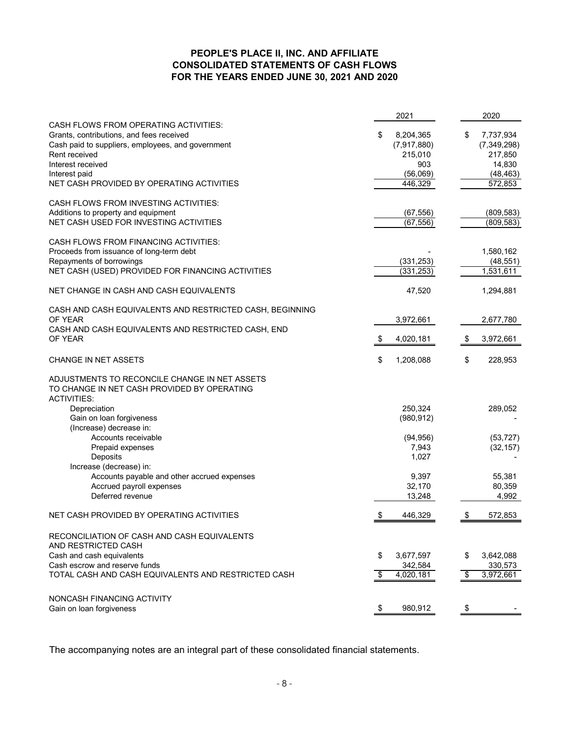## **PEOPLE'S PLACE II, INC. AND AFFILIATE CONSOLIDATED STATEMENTS OF CASH FLOWS FOR THE YEARS ENDED JUNE 30, 2021 AND 2020**

|                                                          | 2021            | 2020            |
|----------------------------------------------------------|-----------------|-----------------|
| CASH FLOWS FROM OPERATING ACTIVITIES:                    |                 |                 |
| Grants, contributions, and fees received                 | 8,204,365<br>\$ | 7,737,934<br>\$ |
| Cash paid to suppliers, employees, and government        | (7, 917, 880)   | (7, 349, 298)   |
| Rent received                                            | 215,010         | 217,850         |
| Interest received                                        | 903             | 14,830          |
| Interest paid                                            | (56,069)        | (48, 463)       |
| NET CASH PROVIDED BY OPERATING ACTIVITIES                | 446,329         | 572,853         |
| <b>CASH FLOWS FROM INVESTING ACTIVITIES:</b>             |                 |                 |
| Additions to property and equipment                      | (67, 556)       | (809, 583)      |
| NET CASH USED FOR INVESTING ACTIVITIES                   | (67, 556)       | (809, 583)      |
| CASH FLOWS FROM FINANCING ACTIVITIES:                    |                 |                 |
| Proceeds from issuance of long-term debt                 |                 | 1,580,162       |
| Repayments of borrowings                                 | (331, 253)      | (48, 551)       |
| NET CASH (USED) PROVIDED FOR FINANCING ACTIVITIES        | (331, 253)      | 1,531,611       |
| NET CHANGE IN CASH AND CASH EQUIVALENTS                  | 47,520          | 1,294,881       |
| CASH AND CASH EQUIVALENTS AND RESTRICTED CASH, BEGINNING |                 |                 |
| OF YEAR                                                  | 3,972,661       | 2,677,780       |
| CASH AND CASH EQUIVALENTS AND RESTRICTED CASH, END       |                 |                 |
| OF YEAR                                                  | 4,020,181<br>\$ | 3,972,661<br>\$ |
| CHANGE IN NET ASSETS                                     | \$<br>1,208,088 | \$<br>228,953   |
| ADJUSTMENTS TO RECONCILE CHANGE IN NET ASSETS            |                 |                 |
| TO CHANGE IN NET CASH PROVIDED BY OPERATING              |                 |                 |
| <b>ACTIVITIES:</b>                                       |                 |                 |
| Depreciation                                             | 250,324         | 289,052         |
| Gain on loan forgiveness                                 | (980, 912)      |                 |
| (Increase) decrease in:                                  |                 |                 |
| Accounts receivable                                      | (94, 956)       | (53, 727)       |
| Prepaid expenses                                         | 7,943           | (32, 157)       |
| Deposits                                                 | 1,027           |                 |
| Increase (decrease) in:                                  |                 |                 |
| Accounts payable and other accrued expenses              | 9,397           | 55,381          |
| Accrued payroll expenses                                 | 32,170          | 80,359          |
| Deferred revenue                                         | 13,248          | 4,992           |
| NET CASH PROVIDED BY OPERATING ACTIVITIES                | 446,329<br>S    | 572,853<br>\$   |
| RECONCILIATION OF CASH AND CASH EQUIVALENTS              |                 |                 |
| AND RESTRICTED CASH                                      |                 |                 |
| Cash and cash equivalents                                | \$<br>3,677,597 | \$<br>3,642,088 |
| Cash escrow and reserve funds                            | 342,584         | 330,573         |
| TOTAL CASH AND CASH EQUIVALENTS AND RESTRICTED CASH      | 4,020,181<br>\$ | 3,972,661<br>\$ |
| NONCASH FINANCING ACTIVITY                               |                 |                 |
| Gain on loan forgiveness                                 | 980,912<br>\$   | \$              |
|                                                          |                 |                 |

The accompanying notes are an integral part of these consolidated financial statements.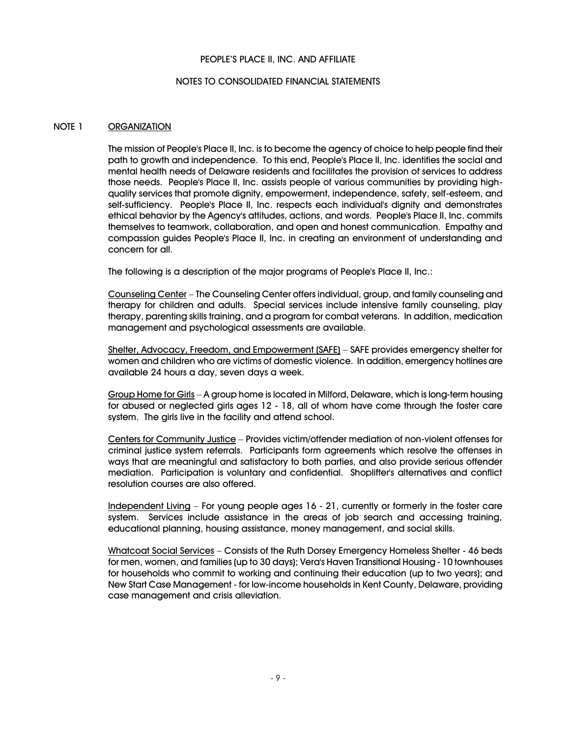#### NOTES TO CONSOLIDATED FINANCIAL STATEMENTS

#### NOTE 1 ORGANIZATION

The mission of People's Place II, Inc. is to become the agency of choice to help people find their path to growth and independence. To this end, People's Place II, Inc. identifies the social and mental health needs of Delaware residents and facilitates the provision of services to address those needs. People's Place II, Inc. assists people of various communities by providing highquality services that promote dignity, empowerment, independence, safety, self-esteem, and self-sufficiency. People's Place II, Inc. respects each individual's dignity and demonstrates ethical behavior by the Agency's attitudes, actions, and words. People's Place II, Inc. commits themselves to teamwork, collaboration, and open and honest communication. Empathy and compassion guides People's Place II, Inc. in creating an environment of understanding and concern for all.

The following is a description of the major programs of People's Place II, Inc.:

Counseling Center − The Counseling Center offers individual, group, and family counseling and therapy for children and adults. Special services include intensive family counseling, play therapy, parenting skills training, and a program for combat veterans. In addition, medication management and psychological assessments are available.

Shelter, Advocacy, Freedom, and Empowerment (SAFE) − SAFE provides emergency shelter for women and children who are victims of domestic violence. In addition, emergency hotlines are available 24 hours a day, seven days a week.

Group Home for Girls − A group home is located in Milford, Delaware, which is long-term housing for abused or neglected girls ages 12 - 18, all of whom have come through the foster care system. The girls live in the facility and attend school.

Centers for Community Justice − Provides victim/offender mediation of non-violent offenses for criminal justice system referrals. Participants form agreements which resolve the offenses in ways that are meaningful and satisfactory to both parties, and also provide serious offender mediation. Participation is voluntary and confidential. Shoplifter's alternatives and conflict resolution courses are also offered.

Independent Living − For young people ages 16 - 21, currently or formerly in the foster care system. Services include assistance in the areas of job search and accessing training, educational planning, housing assistance, money management, and social skills.

Whatcoat Social Services – Consists of the Ruth Dorsey Emergency Homeless Shelter - 46 beds for men, women, and families (up to 30 days); Vera's Haven Transitional Housing - 10 townhouses for households who commit to working and continuing their education (up to two years); and New Start Case Management - for low-income households in Kent County, Delaware, providing case management and crisis alleviation.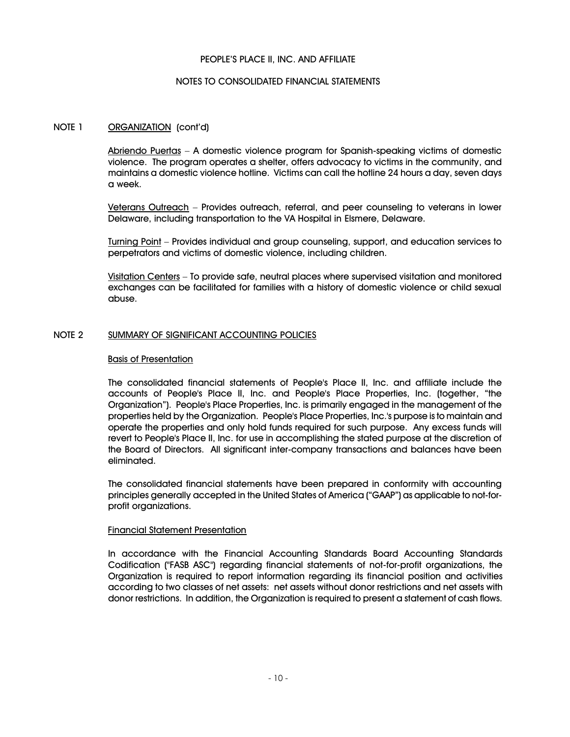#### NOTES TO CONSOLIDATED FINANCIAL STATEMENTS

#### NOTE 1 ORGANIZATION (cont'd)

Abriendo Puertas − A domestic violence program for Spanish-speaking victims of domestic violence. The program operates a shelter, offers advocacy to victims in the community, and maintains a domestic violence hotline. Victims can call the hotline 24 hours a day, seven days a week.

Veterans Outreach − Provides outreach, referral, and peer counseling to veterans in lower Delaware, including transportation to the VA Hospital in Elsmere, Delaware.

Turning Point − Provides individual and group counseling, support, and education services to perpetrators and victims of domestic violence, including children.

Visitation Centers − To provide safe, neutral places where supervised visitation and monitored exchanges can be facilitated for families with a history of domestic violence or child sexual abuse.

#### NOTE 2 SUMMARY OF SIGNIFICANT ACCOUNTING POLICIES

#### Basis of Presentation

The consolidated financial statements of People's Place II, Inc. and affiliate include the accounts of People's Place II, Inc. and People's Place Properties, Inc. (together, "the Organization"). People's Place Properties, Inc. is primarily engaged in the management of the properties held by the Organization. People's Place Properties, Inc.'s purpose is to maintain and operate the properties and only hold funds required for such purpose. Any excess funds will revert to People's Place II, Inc. for use in accomplishing the stated purpose at the discretion of the Board of Directors. All significant inter-company transactions and balances have been eliminated.

The consolidated financial statements have been prepared in conformity with accounting principles generally accepted in the United States of America ("GAAP") as applicable to not-forprofit organizations.

#### Financial Statement Presentation

In accordance with the Financial Accounting Standards Board Accounting Standards Codification ("FASB ASC") regarding financial statements of not-for-profit organizations, the Organization is required to report information regarding its financial position and activities according to two classes of net assets: net assets without donor restrictions and net assets with donor restrictions. In addition, the Organization is required to present a statement of cash flows.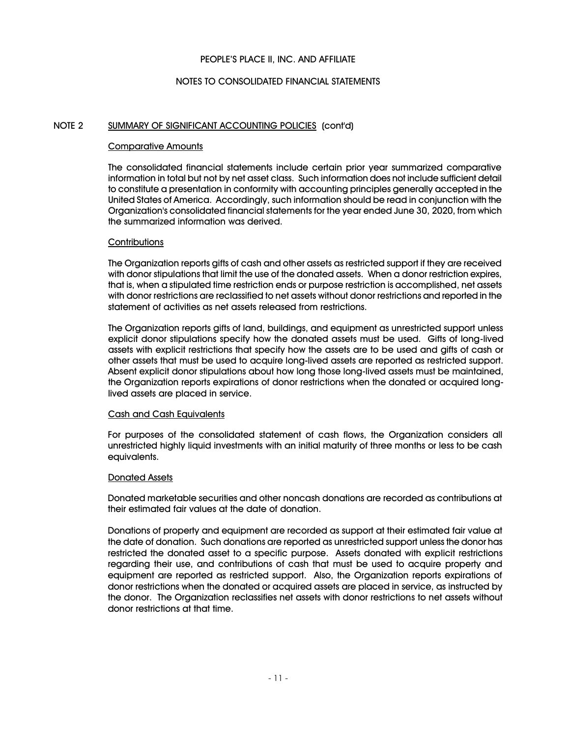#### NOTES TO CONSOLIDATED FINANCIAL STATEMENTS

#### NOTE 2 SUMMARY OF SIGNIFICANT ACCOUNTING POLICIES (cont'd)

#### Comparative Amounts

The consolidated financial statements include certain prior year summarized comparative information in total but not by net asset class. Such information does not include sufficient detail to constitute a presentation in conformity with accounting principles generally accepted in the United States of America. Accordingly, such information should be read in conjunction with the Organization's consolidated financial statements for the year ended June 30, 2020, from which the summarized information was derived.

#### **Contributions**

The Organization reports gifts of cash and other assets as restricted support if they are received with donor stipulations that limit the use of the donated assets. When a donor restriction expires, that is, when a stipulated time restriction ends or purpose restriction is accomplished, net assets with donor restrictions are reclassified to net assets without donor restrictions and reported in the statement of activities as net assets released from restrictions.

The Organization reports gifts of land, buildings, and equipment as unrestricted support unless explicit donor stipulations specify how the donated assets must be used. Gifts of long-lived assets with explicit restrictions that specify how the assets are to be used and gifts of cash or other assets that must be used to acquire long-lived assets are reported as restricted support. Absent explicit donor stipulations about how long those long-lived assets must be maintained, the Organization reports expirations of donor restrictions when the donated or acquired longlived assets are placed in service.

#### Cash and Cash Equivalents

For purposes of the consolidated statement of cash flows, the Organization considers all unrestricted highly liquid investments with an initial maturity of three months or less to be cash equivalents.

#### Donated Assets

Donated marketable securities and other noncash donations are recorded as contributions at their estimated fair values at the date of donation.

Donations of property and equipment are recorded as support at their estimated fair value at the date of donation. Such donations are reported as unrestricted support unless the donor has restricted the donated asset to a specific purpose. Assets donated with explicit restrictions regarding their use, and contributions of cash that must be used to acquire property and equipment are reported as restricted support. Also, the Organization reports expirations of donor restrictions when the donated or acquired assets are placed in service, as instructed by the donor. The Organization reclassifies net assets with donor restrictions to net assets without donor restrictions at that time.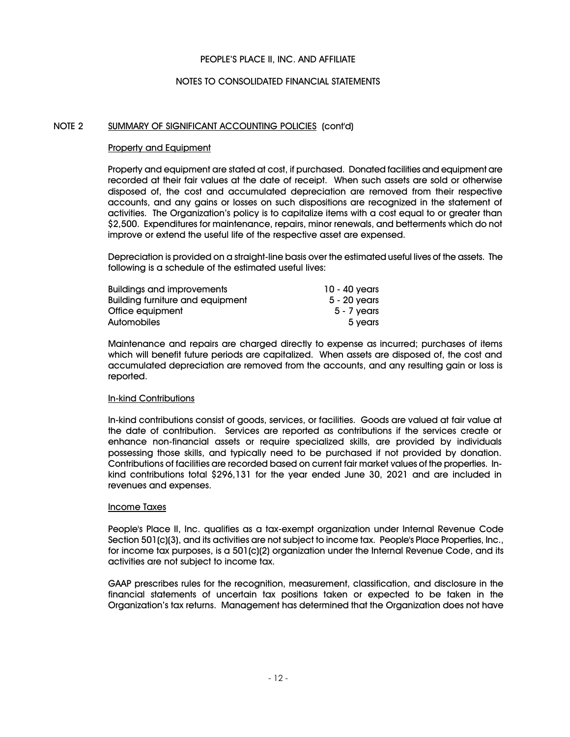#### NOTES TO CONSOLIDATED FINANCIAL STATEMENTS

#### NOTE 2 SUMMARY OF SIGNIFICANT ACCOUNTING POLICIES (cont'd)

#### Property and Equipment

Property and equipment are stated at cost, if purchased. Donated facilities and equipment are recorded at their fair values at the date of receipt. When such assets are sold or otherwise disposed of, the cost and accumulated depreciation are removed from their respective accounts, and any gains or losses on such dispositions are recognized in the statement of activities. The Organization's policy is to capitalize items with a cost equal to or greater than \$2,500. Expenditures for maintenance, repairs, minor renewals, and betterments which do not improve or extend the useful life of the respective asset are expensed.

Depreciation is provided on a straight-line basis over the estimated useful lives of the assets. The following is a schedule of the estimated useful lives:

| <b>Buildings and improvements</b> | 10 - 40 years  |
|-----------------------------------|----------------|
| Building furniture and equipment  | $5 - 20$ years |
| Office equipment                  | $5 - 7$ years  |
| <b>Automobiles</b>                | 5 years        |

Maintenance and repairs are charged directly to expense as incurred; purchases of items which will benefit future periods are capitalized. When assets are disposed of, the cost and accumulated depreciation are removed from the accounts, and any resulting gain or loss is reported.

#### In-kind Contributions

In-kind contributions consist of goods, services, or facilities. Goods are valued at fair value at the date of contribution. Services are reported as contributions if the services create or enhance non-financial assets or require specialized skills, are provided by individuals possessing those skills, and typically need to be purchased if not provided by donation. Contributions of facilities are recorded based on current fair market values of the properties. Inkind contributions total \$296,131 for the year ended June 30, 2021 and are included in revenues and expenses.

#### Income Taxes

People's Place II, Inc. qualifies as a tax-exempt organization under Internal Revenue Code Section 501(c)(3), and its activities are not subject to income tax. People's Place Properties, Inc., for income tax purposes, is a 501(c)(2) organization under the Internal Revenue Code, and its activities are not subject to income tax.

GAAP prescribes rules for the recognition, measurement, classification, and disclosure in the financial statements of uncertain tax positions taken or expected to be taken in the Organization's tax returns. Management has determined that the Organization does not have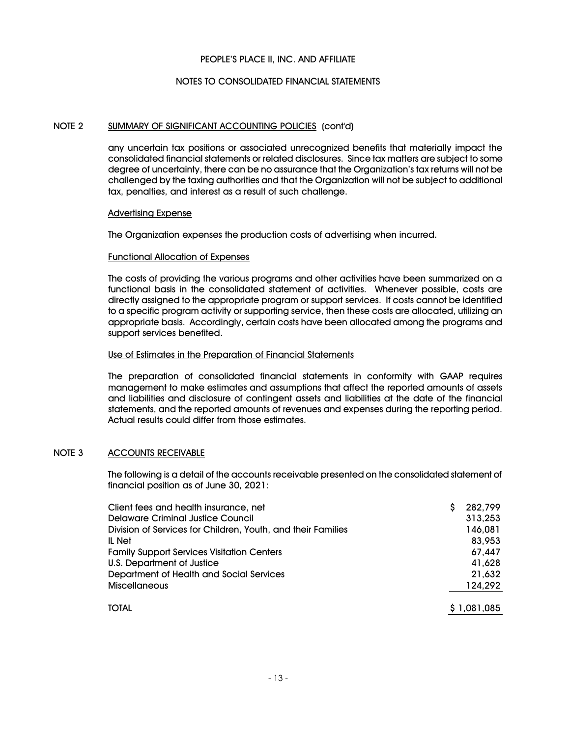#### NOTES TO CONSOLIDATED FINANCIAL STATEMENTS

#### NOTE 2 SUMMARY OF SIGNIFICANT ACCOUNTING POLICIES (cont'd)

any uncertain tax positions or associated unrecognized benefits that materially impact the consolidated financial statements or related disclosures. Since tax matters are subject to some degree of uncertainty, there can be no assurance that the Organization's tax returns will not be challenged by the taxing authorities and that the Organization will not be subject to additional tax, penalties, and interest as a result of such challenge.

#### Advertising Expense

The Organization expenses the production costs of advertising when incurred.

#### Functional Allocation of Expenses

The costs of providing the various programs and other activities have been summarized on a functional basis in the consolidated statement of activities. Whenever possible, costs are directly assigned to the appropriate program or support services. If costs cannot be identified to a specific program activity or supporting service, then these costs are allocated, utilizing an appropriate basis. Accordingly, certain costs have been allocated among the programs and support services benefited.

#### Use of Estimates in the Preparation of Financial Statements

The preparation of consolidated financial statements in conformity with GAAP requires management to make estimates and assumptions that affect the reported amounts of assets and liabilities and disclosure of contingent assets and liabilities at the date of the financial statements, and the reported amounts of revenues and expenses during the reporting period. Actual results could differ from those estimates.

#### NOTE 3 ACCOUNTS RECEIVABLE

The following is a detail of the accounts receivable presented on the consolidated statement of financial position as of June 30, 2021:

| Client fees and health insurance, net                        | 282.799     |
|--------------------------------------------------------------|-------------|
| <b>Delaware Criminal Justice Council</b>                     | 313,253     |
| Division of Services for Children, Youth, and their Families | 146,081     |
| IL Net                                                       | 83,953      |
| <b>Family Support Services Visitation Centers</b>            | 67,447      |
| <b>U.S. Department of Justice</b>                            | 41,628      |
| Department of Health and Social Services                     | 21,632      |
| <b>Miscellaneous</b>                                         | 124,292     |
| <b>TOTAL</b>                                                 | \$1,081,085 |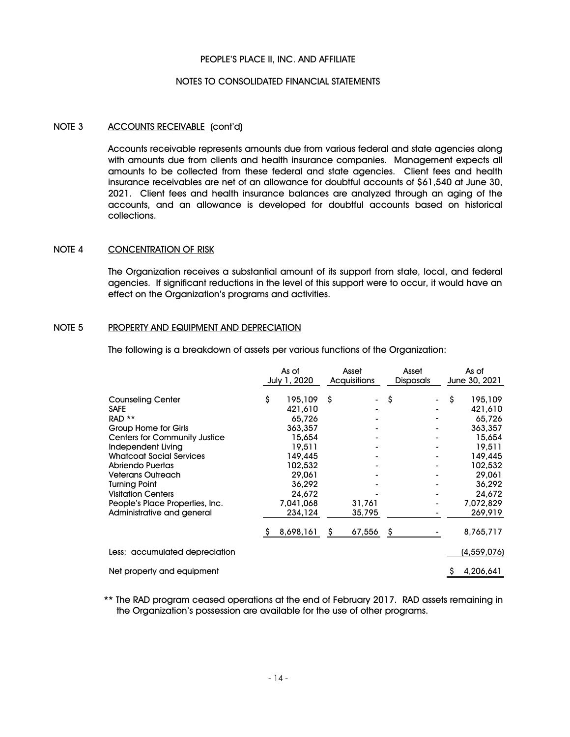#### NOTES TO CONSOLIDATED FINANCIAL STATEMENTS

#### NOTE 3 ACCOUNTS RECEIVABLE (cont'd)

Accounts receivable represents amounts due from various federal and state agencies along with amounts due from clients and health insurance companies. Management expects all amounts to be collected from these federal and state agencies. Client fees and health insurance receivables are net of an allowance for doubtful accounts of \$61,540 at June 30, 2021. Client fees and health insurance balances are analyzed through an aging of the accounts, and an allowance is developed for doubtful accounts based on historical collections.

#### NOTE 4 CONCENTRATION OF RISK

The Organization receives a substantial amount of its support from state, local, and federal agencies. If significant reductions in the level of this support were to occur, it would have an effect on the Organization's programs and activities.

#### NOTE 5 PROPERTY AND EQUIPMENT AND DEPRECIATION

The following is a breakdown of assets per various functions of the Organization:

|                                 |    | As of<br>July 1, 2020 |    | Asset<br>Acquisitions |    | Asset<br><b>Disposals</b> |   | As of<br>June 30, 2021 |
|---------------------------------|----|-----------------------|----|-----------------------|----|---------------------------|---|------------------------|
| <b>Counseling Center</b>        | \$ | 195.109               | Ŝ  |                       | \$ |                           | Ŝ | 195,109                |
| <b>SAFE</b>                     |    | 421.610               |    |                       |    |                           |   | 421,610                |
| RAD **                          |    | 65,726                |    |                       |    |                           |   | 65,726                 |
| Group Home for Girls            |    | 363,357               |    |                       |    |                           |   | 363,357                |
| Centers for Community Justice   |    | 15.654                |    |                       |    |                           |   | 15,654                 |
| Independent Living              |    | 19,511                |    |                       |    |                           |   | 19,511                 |
| <b>Whatcoat Social Services</b> |    | 149.445               |    |                       |    |                           |   | 149.445                |
| Abriendo Puertas                |    | 102.532               |    |                       |    |                           |   | 102,532                |
| <b>Veterans Outreach</b>        |    | 29.061                |    |                       |    |                           |   | 29.061                 |
| <b>Turning Point</b>            |    | 36,292                |    |                       |    |                           |   | 36,292                 |
| <b>Visitation Centers</b>       |    | 24.672                |    |                       |    |                           |   | 24,672                 |
| People's Place Properties, Inc. |    | 7,041,068             |    | 31,761                |    |                           |   | 7,072,829              |
| Administrative and general      |    | 234,124               |    | 35,795                |    |                           |   | 269,919                |
|                                 | S  | 8,698,161             | \$ | 67,556                | Ş  |                           |   | 8,765,717              |
| Less: accumulated depreciation  |    |                       |    |                       |    |                           |   | (4,559,076)            |
| Net property and equipment      |    |                       |    |                       |    |                           |   | 4.206.641              |

\*\* The RAD program ceased operations at the end of February 2017. RAD assets remaining in the Organization's possession are available for the use of other programs.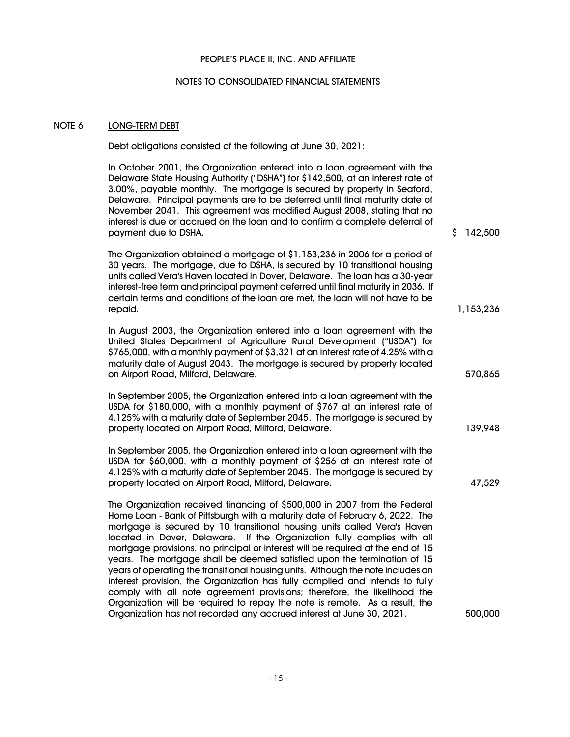#### NOTES TO CONSOLIDATED FINANCIAL STATEMENTS

#### NOTE 6 LONG-TERM DEBT

Debt obligations consisted of the following at June 30, 2021:

In October 2001, the Organization entered into a loan agreement with the Delaware State Housing Authority ("DSHA") for \$142,500, at an interest rate of 3.00%, payable monthly. The mortgage is secured by property in Seaford, Delaware. Principal payments are to be deferred until final maturity date of November 2041. This agreement was modified August 2008, stating that no interest is due or accrued on the loan and to confirm a complete deferral of payment due to DSHA.  $\sim$  142,500

The Organization obtained a mortgage of \$1,153,236 in 2006 for a period of 30 years. The mortgage, due to DSHA, is secured by 10 transitional housing units called Vera's Haven located in Dover, Delaware. The loan has a 30-year interest-free term and principal payment deferred until final maturity in 2036. If certain terms and conditions of the loan are met, the loan will not have to be repaid. 1,153,236

In August 2003, the Organization entered into a loan agreement with the United States Department of Agriculture Rural Development ("USDA") for \$765,000, with a monthly payment of \$3,321 at an interest rate of 4.25% with a maturity date of August 2043. The mortgage is secured by property located on Airport Road, Milford, Delaware. 570,865

In September 2005, the Organization entered into a loan agreement with the USDA for \$180,000, with a monthly payment of \$767 at an interest rate of 4.125% with a maturity date of September 2045. The mortgage is secured by property located on Airport Road, Milford, Delaware. 139,948

In September 2005, the Organization entered into a loan agreement with the USDA for \$60,000, with a monthly payment of \$256 at an interest rate of 4.125% with a maturity date of September 2045. The mortgage is secured by property located on Airport Road, Milford, Delaware. 47,529

The Organization received financing of \$500,000 in 2007 from the Federal Home Loan - Bank of Pittsburgh with a maturity date of February 6, 2022. The mortgage is secured by 10 transitional housing units called Vera's Haven located in Dover, Delaware. If the Organization fully complies with all mortgage provisions, no principal or interest will be required at the end of 15 years. The mortgage shall be deemed satisfied upon the termination of 15 years of operating the transitional housing units. Although the note includes an interest provision, the Organization has fully complied and intends to fully comply with all note agreement provisions; therefore, the likelihood the Organization will be required to repay the note is remote. As a result, the Organization has not recorded any accrued interest at June 30, 2021. 500,000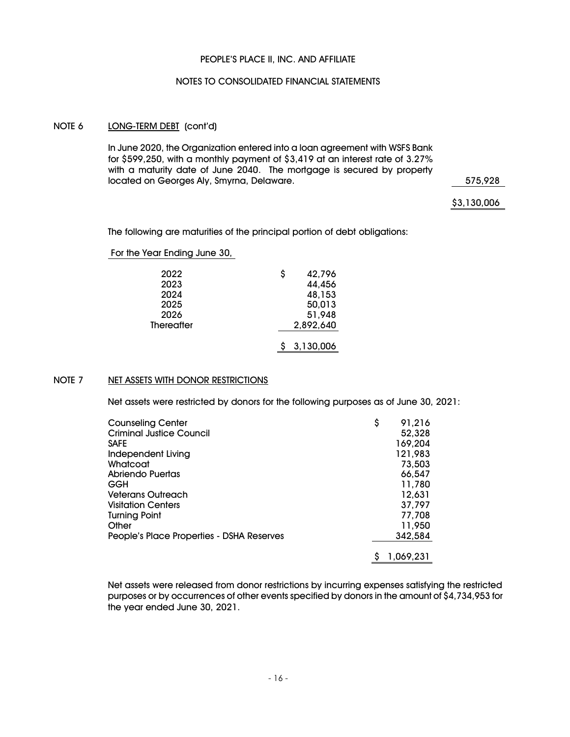#### NOTES TO CONSOLIDATED FINANCIAL STATEMENTS

#### NOTE 6 LONG-TERM DEBI (cont'd)

In June 2020, the Organization entered into a loan agreement with WSFS Bank for \$599,250, with a monthly payment of \$3,419 at an interest rate of 3.27% with a maturity date of June 2040. The mortgage is secured by property located on Georges Aly, Smyrna, Delaware. 575,928

\$3,130,006

The following are maturities of the principal portion of debt obligations:

For the Year Ending June 30,

| 2022              | S<br>42.796 |
|-------------------|-------------|
| 2023              | 44,456      |
| 2024              | 48,153      |
| 2025              | 50,013      |
| 2026              | 51,948      |
| <b>Thereafter</b> | 2,892,640   |
|                   | 3,130,006   |

#### NOTE 7 NET ASSETS WITH DONOR RESTRICTIONS

Net assets were restricted by donors for the following purposes as of June 30, 2021:

| <b>Counseling Center</b>                  | \$<br>91.216 |
|-------------------------------------------|--------------|
| <b>Criminal Justice Council</b>           | 52,328       |
| SAFE                                      | 169,204      |
| Independent Living                        | 121,983      |
| Whatcoat                                  | 73,503       |
| Abriendo Puertas                          | 66,547       |
| GGH                                       | 11,780       |
| Veterans Outreach                         | 12.631       |
| Visitation Centers                        | 37.797       |
| Turning Point                             | 77,708       |
| Other                                     | 11.950       |
| People's Place Properties - DSHA Reserves | 342,584      |
|                                           | 1,069,231    |

Net assets were released from donor restrictions by incurring expenses satisfying the restricted purposes or by occurrences of other events specified by donors in the amount of \$4,734,953 for the year ended June 30, 2021.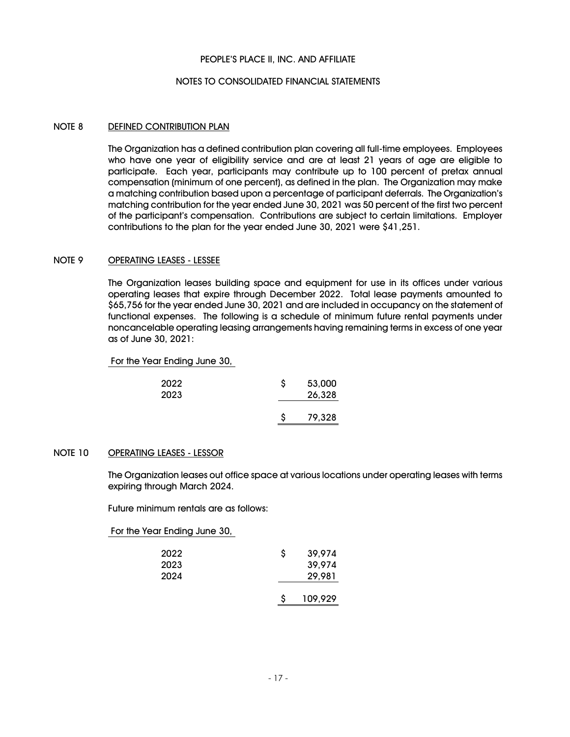#### NOTES TO CONSOLIDATED FINANCIAL STATEMENTS

#### NOTE 8 DEFINED CONTRIBUTION PLAN

The Organization has a defined contribution plan covering all full-time employees. Employees who have one year of eligibility service and are at least 21 years of age are eligible to participate. Each year, participants may contribute up to 100 percent of pretax annual compensation (minimum of one percent), as defined in the plan. The Organization may make a matching contribution based upon a percentage of participant deferrals. The Organization's matching contribution for the year ended June 30, 2021 was 50 percent of the first two percent of the participant's compensation. Contributions are subject to certain limitations. Employer contributions to the plan for the year ended June 30, 2021 were \$41,251.

#### NOTE 9 OPERATING LEASES - LESSEE

The Organization leases building space and equipment for use in its offices under various operating leases that expire through December 2022. Total lease payments amounted to \$65,756 for the year ended June 30, 2021 and are included in occupancy on the statement of functional expenses. The following is a schedule of minimum future rental payments under noncancelable operating leasing arrangements having remaining terms in excess of one year as of June 30, 2021:

For the Year Ending June 30,

| 2022<br>2023 | 53,000<br>26,328 |
|--------------|------------------|
|              | 79,328           |

#### NOTE 10 OPERATING LEASES - LESSOR

The Organization leases out office space at various locations under operating leases with terms expiring through March 2024.

Future minimum rentals are as follows:

For the Year Ending June 30,

| 2022<br>2023<br>2024 | 39,974<br>39,974<br>29,981 |
|----------------------|----------------------------|
|                      | 109,929                    |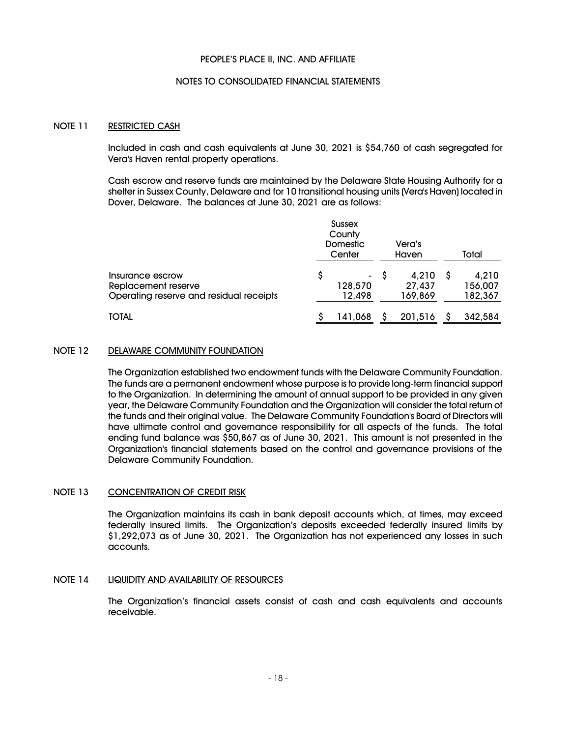#### NOTES TO CONSOLIDATED FINANCIAL STATEMENTS

#### NOTE 11 RESTRICTED CASH

Included in cash and cash equivalents at June 30, 2021 is \$54,760 of cash segregated for Vera's Haven rental property operations.

Cash escrow and reserve funds are maintained by the Delaware State Housing Authority for a shelter in Sussex County, Delaware and for 10 transitional housing units (Vera's Haven) located in Dover, Delaware. The balances at June 30, 2021 are as follows:

|                                                                                    |   | <b>Sussex</b><br>County<br><b>Domestic</b><br>Center |     | Vera's<br>Haven            | Total                       |
|------------------------------------------------------------------------------------|---|------------------------------------------------------|-----|----------------------------|-----------------------------|
| Insurance escrow<br>Replacement reserve<br>Operating reserve and residual receipts | S | 128,570<br>12,498                                    | - S | 4,210<br>27.437<br>169.869 | 4.210<br>156,007<br>182,367 |
| <b>TOTAL</b>                                                                       |   | 141.068                                              |     | 201,516                    | 342.584                     |

#### NOTE 12 DELAWARE COMMUNITY FOUNDATION

The Organization established two endowment funds with the Delaware Community Foundation. The funds are a permanent endowment whose purpose is to provide long-term financial support to the Organization. In determining the amount of annual support to be provided in any given year, the Delaware Community Foundation and the Organization will consider the total return of the funds and their original value. The Delaware Community Foundation's Board of Directors will have ultimate control and governance responsibility for all aspects of the funds. The total ending fund balance was \$50,867 as of June 30, 2021. This amount is not presented in the Organization's financial statements based on the control and governance provisions of the Delaware Community Foundation.

#### NOTE 13 CONCENTRATION OF CREDIT RISK

The Organization maintains its cash in bank deposit accounts which, at times, may exceed federally insured limits. The Organization's deposits exceeded federally insured limits by \$1,292,073 as of June 30, 2021. The Organization has not experienced any losses in such accounts.

#### NOTE 14 LIQUIDITY AND AVAILABILITY OF RESOURCES

The Organization's financial assets consist of cash and cash equivalents and accounts receivable.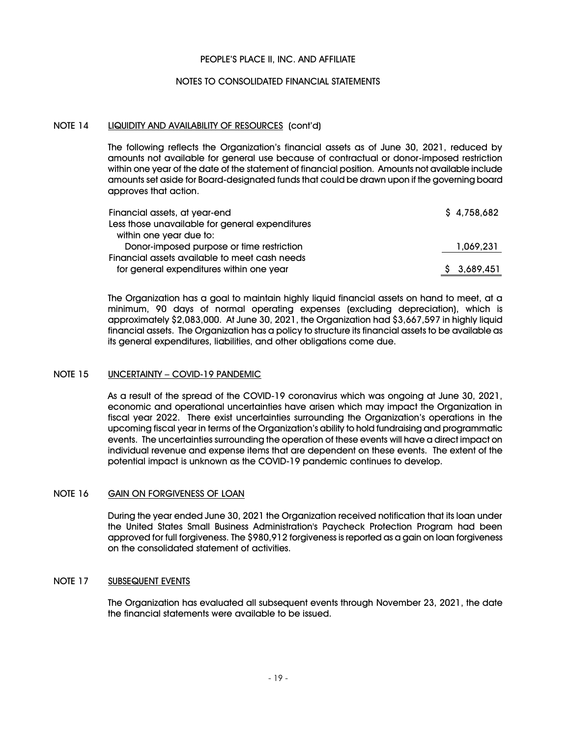#### NOTES TO CONSOLIDATED FINANCIAL STATEMENTS

#### NOTE 14 LIQUIDITY AND AVAILABILITY OF RESOURCES (cont'd)

The following reflects the Organization's financial assets as of June 30, 2021, reduced by amounts not available for general use because of contractual or donor-imposed restriction within one year of the date of the statement of financial position. Amounts not available include amounts set aside for Board-designated funds that could be drawn upon if the governing board approves that action.

| Financial assets, at year-end                   | \$4,758,682 |
|-------------------------------------------------|-------------|
| Less those unavailable for general expenditures |             |
| within one year due to:                         |             |
| Donor-imposed purpose or time restriction       | 1,069,231   |
| Financial assets available to meet cash needs   |             |
| for general expenditures within one year        | \$3,689,451 |

The Organization has a goal to maintain highly liquid financial assets on hand to meet, at a minimum, 90 days of normal operating expenses (excluding depreciation), which is approximately \$2,083,000. At June 30, 2021, the Organization had \$3,667,597 in highly liquid financial assets. The Organization has a policy to structure its financial assets to be available as its general expenditures, liabilities, and other obligations come due.

#### NOTE 15 UNCERTAINTY – COVID-19 PANDEMIC

As a result of the spread of the COVID-19 coronavirus which was ongoing at June 30, 2021, economic and operational uncertainties have arisen which may impact the Organization in fiscal year 2022. There exist uncertainties surrounding the Organization's operations in the upcoming fiscal year in terms of the Organization's ability to hold fundraising and programmatic events. The uncertainties surrounding the operation of these events will have a direct impact on individual revenue and expense items that are dependent on these events. The extent of the potential impact is unknown as the COVID-19 pandemic continues to develop.

#### NOTE 16 GAIN ON FORGIVENESS OF LOAN

During the year ended June 30, 2021 the Organization received notification that its loan under the United States Small Business Administration's Paycheck Protection Program had been approved for full forgiveness. The \$980,912 forgiveness is reported as a gain on loan forgiveness on the consolidated statement of activities.

#### NOTE 17 SUBSEQUENT EVENTS

The Organization has evaluated all subsequent events through November 23, 2021, the date the financial statements were available to be issued.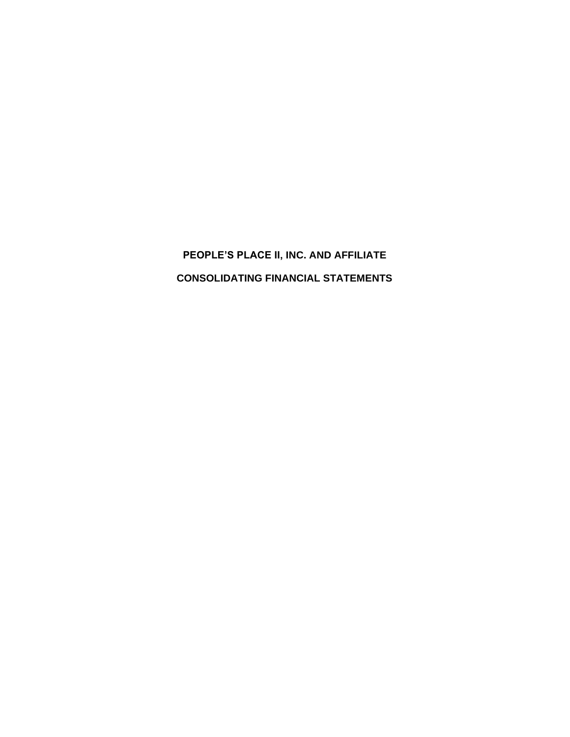# **PEOPLE'S PLACE II, INC. AND AFFILIATE CONSOLIDATING FINANCIAL STATEMENTS**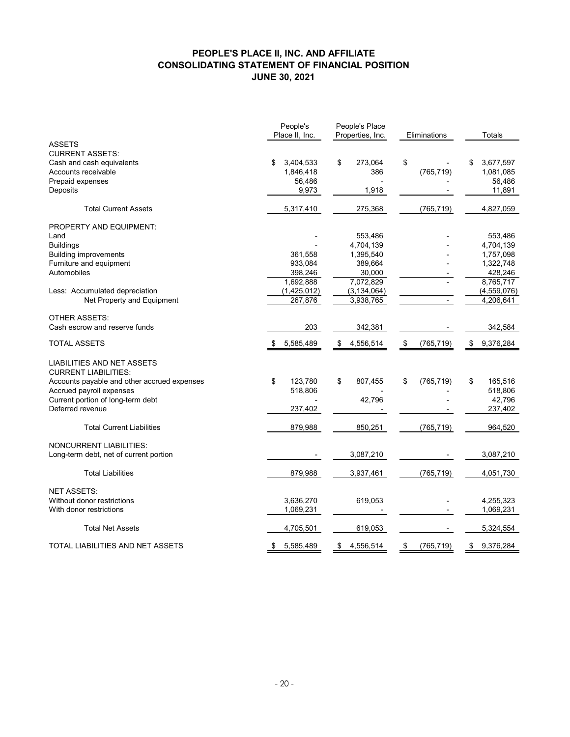## **JUNE 30, 2021 CONSOLIDATING STATEMENT OF FINANCIAL POSITION PEOPLE'S PLACE II, INC. AND AFFILIATE**

|                                                                          | People's<br>Place II, Inc. | People's Place<br>Properties, Inc. | Eliminations             | <b>Totals</b>   |
|--------------------------------------------------------------------------|----------------------------|------------------------------------|--------------------------|-----------------|
| <b>ASSETS</b>                                                            |                            |                                    |                          |                 |
| <b>CURRENT ASSETS:</b>                                                   |                            |                                    |                          |                 |
| Cash and cash equivalents                                                | \$<br>3,404,533            | \$<br>273,064                      | \$                       | \$<br>3,677,597 |
| Accounts receivable                                                      | 1,846,418                  | 386                                | (765, 719)               | 1,081,085       |
| Prepaid expenses                                                         | 56,486                     |                                    |                          | 56,486          |
| Deposits                                                                 | 9,973                      | 1,918                              |                          | 11,891          |
| <b>Total Current Assets</b>                                              | 5,317,410                  | 275,368                            | (765, 719)               | 4,827,059       |
| <b>PROPERTY AND EQUIPMENT:</b>                                           |                            |                                    |                          |                 |
| Land                                                                     |                            | 553,486                            |                          | 553,486         |
| <b>Buildings</b>                                                         |                            | 4,704,139                          |                          | 4,704,139       |
| <b>Building improvements</b>                                             | 361,558                    | 1,395,540                          |                          | 1,757,098       |
| Furniture and equipment                                                  | 933,084                    | 389,664                            |                          | 1,322,748       |
| Automobiles                                                              | 398,246                    | 30,000                             |                          | 428,246         |
|                                                                          | 1,692,888                  | 7,072,829                          |                          | 8,765,717       |
| Less: Accumulated depreciation                                           | (1,425,012)                | (3, 134, 064)                      |                          | (4,559,076)     |
| Net Property and Equipment                                               | 267,876                    | 3,938,765                          | $\overline{\phantom{a}}$ | 4,206,641       |
| <b>OTHER ASSETS:</b>                                                     |                            |                                    |                          |                 |
| Cash escrow and reserve funds                                            | 203                        | 342,381                            |                          | 342,584         |
| <b>TOTAL ASSETS</b>                                                      | 5,585,489                  | \$<br>4,556,514                    | \$<br>(765,719)          | \$<br>9,376,284 |
| <b>LIABILITIES AND NET ASSETS</b>                                        |                            |                                    |                          |                 |
| <b>CURRENT LIABILITIES:</b>                                              |                            |                                    |                          |                 |
| Accounts payable and other accrued expenses                              | \$<br>123,780              | \$<br>807,455                      | \$<br>(765, 719)         | 165.516<br>\$   |
| Accrued payroll expenses                                                 | 518,806                    |                                    |                          | 518,806         |
| Current portion of long-term debt                                        |                            | 42,796                             |                          | 42,796          |
| Deferred revenue                                                         | 237,402                    |                                    |                          | 237,402         |
| <b>Total Current Liabilities</b>                                         | 879,988                    | 850,251                            | (765, 719)               | 964,520         |
|                                                                          |                            |                                    |                          |                 |
| <b>NONCURRENT LIABILITIES:</b><br>Long-term debt, net of current portion |                            | 3,087,210                          |                          | 3,087,210       |
|                                                                          |                            |                                    |                          |                 |
| <b>Total Liabilities</b>                                                 | 879,988                    | 3,937,461                          | (765, 719)               | 4,051,730       |
| <b>NET ASSETS:</b>                                                       |                            |                                    |                          |                 |
| Without donor restrictions                                               | 3,636,270                  | 619,053                            |                          | 4,255,323       |
| With donor restrictions                                                  | 1,069,231                  |                                    |                          | 1,069,231       |
| <b>Total Net Assets</b>                                                  | 4,705,501                  | 619,053                            |                          | 5,324,554       |
| TOTAL LIABILITIES AND NET ASSETS                                         | \$<br>5,585,489            | \$<br>4,556,514                    | \$<br>(765, 719)         | \$<br>9,376,284 |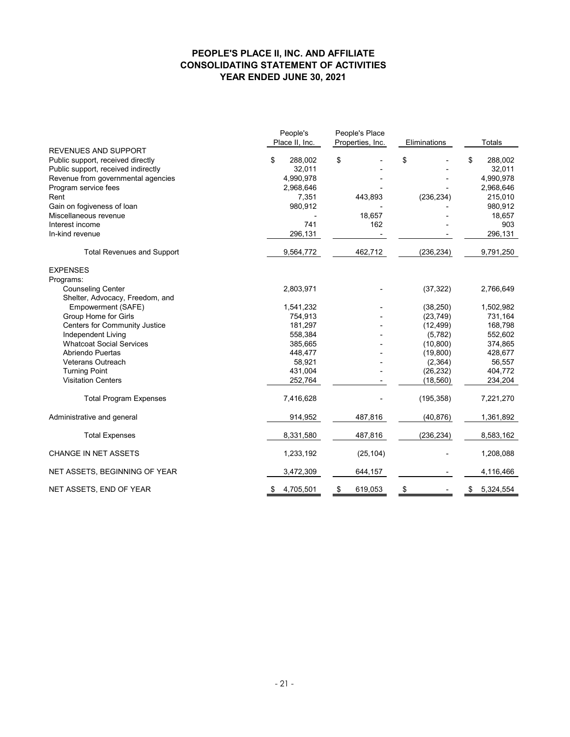## **PEOPLE'S PLACE II, INC. AND AFFILIATE CONSOLIDATING STATEMENT OF ACTIVITIES YEAR ENDED JUNE 30, 2021**

|                                     | People's        | People's Place   |              |                 |  |  |
|-------------------------------------|-----------------|------------------|--------------|-----------------|--|--|
|                                     | Place II, Inc.  | Properties, Inc. | Eliminations | <b>Totals</b>   |  |  |
| <b>REVENUES AND SUPPORT</b>         |                 |                  |              |                 |  |  |
| Public support, received directly   | 288,002<br>\$   | \$               | \$           | 288,002<br>\$   |  |  |
| Public support, received indirectly | 32,011          |                  |              | 32,011          |  |  |
| Revenue from governmental agencies  | 4,990,978       |                  |              | 4,990,978       |  |  |
| Program service fees                | 2,968,646       |                  |              | 2,968,646       |  |  |
| Rent                                | 7,351           | 443,893          | (236, 234)   | 215,010         |  |  |
| Gain on fogiveness of loan          | 980,912         |                  |              | 980,912         |  |  |
| Miscellaneous revenue               |                 | 18,657           |              | 18,657          |  |  |
| Interest income                     | 741             | 162              |              | 903             |  |  |
| In-kind revenue                     | 296,131         |                  |              | 296,131         |  |  |
| <b>Total Revenues and Support</b>   | 9,564,772       | 462,712          | (236, 234)   | 9,791,250       |  |  |
| <b>EXPENSES</b>                     |                 |                  |              |                 |  |  |
| Programs:                           |                 |                  |              |                 |  |  |
| <b>Counseling Center</b>            | 2,803,971       |                  | (37, 322)    | 2,766,649       |  |  |
| Shelter, Advocacy, Freedom, and     |                 |                  |              |                 |  |  |
| Empowerment (SAFE)                  | 1,541,232       |                  | (38, 250)    | 1,502,982       |  |  |
| Group Home for Girls                | 754,913         |                  | (23, 749)    | 731,164         |  |  |
| Centers for Community Justice       | 181,297         |                  | (12, 499)    | 168,798         |  |  |
| Independent Living                  | 558,384         |                  | (5,782)      | 552,602         |  |  |
| <b>Whatcoat Social Services</b>     | 385,665         |                  | (10, 800)    | 374,865         |  |  |
| Abriendo Puertas                    | 448,477         |                  | (19,800)     | 428,677         |  |  |
| <b>Veterans Outreach</b>            | 58,921          |                  | (2,364)      | 56,557          |  |  |
| <b>Turning Point</b>                | 431,004         |                  | (26, 232)    | 404,772         |  |  |
| <b>Visitation Centers</b>           | 252,764         |                  | (18, 560)    | 234,204         |  |  |
| <b>Total Program Expenses</b>       | 7,416,628       |                  | (195, 358)   | 7,221,270       |  |  |
| Administrative and general          | 914,952         | 487,816          | (40, 876)    | 1,361,892       |  |  |
| <b>Total Expenses</b>               | 8,331,580       | 487,816          | (236, 234)   | 8,583,162       |  |  |
| <b>CHANGE IN NET ASSETS</b>         | 1,233,192       | (25, 104)        |              | 1,208,088       |  |  |
| NET ASSETS, BEGINNING OF YEAR       | 3,472,309       | 644,157          |              | 4,116,466       |  |  |
| NET ASSETS, END OF YEAR             | 4,705,501<br>\$ | \$<br>619,053    | \$           | 5,324,554<br>\$ |  |  |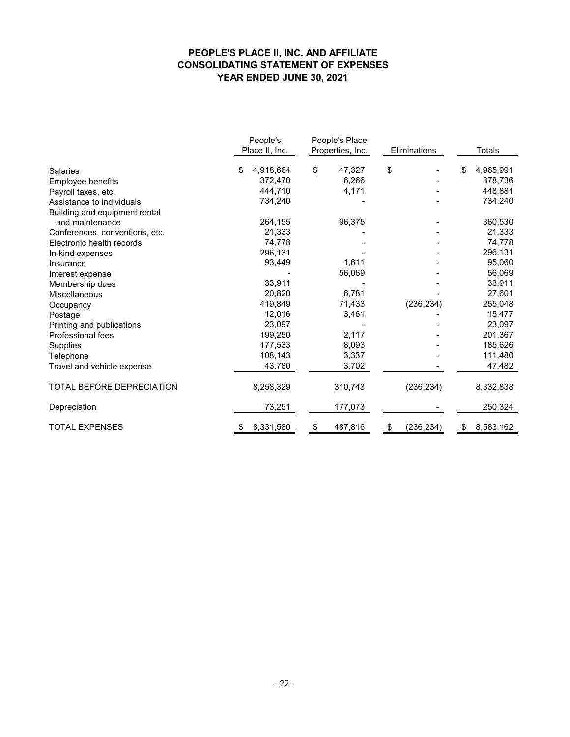## **PEOPLE'S PLACE II, INC. AND AFFILIATE CONSOLIDATING STATEMENT OF EXPENSES YEAR ENDED JUNE 30, 2021**

|                                | People's        | People's Place   |                  |                 |
|--------------------------------|-----------------|------------------|------------------|-----------------|
|                                | Place II, Inc.  | Properties, Inc. | Eliminations     | Totals          |
| <b>Salaries</b>                | 4,918,664<br>\$ | \$<br>47,327     | \$               | 4,965,991<br>S  |
| Employee benefits              | 372,470         | 6,266            |                  | 378,736         |
| Payroll taxes, etc.            | 444,710         | 4,171            |                  | 448,881         |
| Assistance to individuals      | 734,240         |                  |                  | 734,240         |
| Building and equipment rental  |                 |                  |                  |                 |
| and maintenance                | 264,155         | 96,375           |                  | 360,530         |
| Conferences, conventions, etc. | 21,333          |                  |                  | 21,333          |
| Electronic health records      | 74,778          |                  |                  | 74,778          |
| In-kind expenses               | 296,131         |                  |                  | 296,131         |
| Insurance                      | 93,449          | 1,611            |                  | 95,060          |
| Interest expense               |                 | 56,069           |                  | 56,069          |
| Membership dues                | 33,911          |                  |                  | 33,911          |
| Miscellaneous                  | 20,820          | 6,781            |                  | 27,601          |
| Occupancy                      | 419,849         | 71,433           | (236, 234)       | 255,048         |
| Postage                        | 12,016          | 3,461            |                  | 15,477          |
| Printing and publications      | 23,097          |                  |                  | 23,097          |
| Professional fees              | 199,250         | 2,117            |                  | 201,367         |
| Supplies                       | 177,533         | 8,093            |                  | 185,626         |
| Telephone                      | 108,143         | 3,337            |                  | 111,480         |
| Travel and vehicle expense     | 43,780          | 3,702            |                  | 47,482          |
| TOTAL BEFORE DEPRECIATION      | 8,258,329       | 310,743          | (236, 234)       | 8,332,838       |
| Depreciation                   | 73,251          | 177,073          |                  | 250,324         |
| <b>TOTAL EXPENSES</b>          | 8,331,580       | \$<br>487,816    | \$<br>(236, 234) | 8,583,162<br>\$ |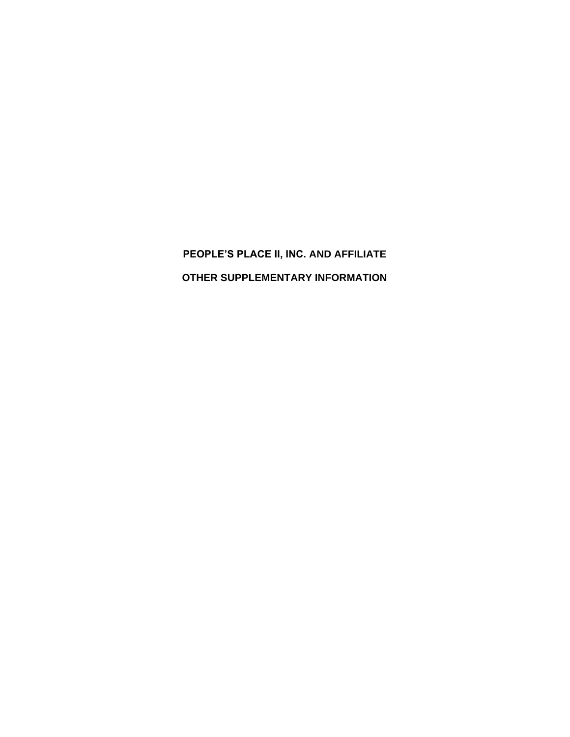# **PEOPLE'S PLACE II, INC. AND AFFILIATE OTHER SUPPLEMENTARY INFORMATION**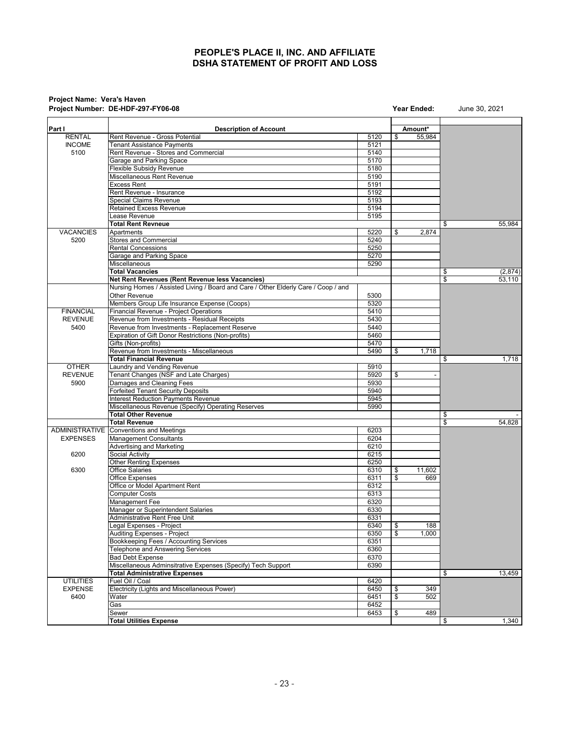## **PEOPLE'S PLACE II, INC. AND AFFILIATE DSHA STATEMENT OF PROFIT AND LOSS**

# **Project Name: Vera's Haven**

|                       | Project Number: DE-HDF-297-FY06-08                                                 |              | Year Ended:  | June 30, 2021 |
|-----------------------|------------------------------------------------------------------------------------|--------------|--------------|---------------|
|                       |                                                                                    |              |              |               |
| Part I                | <b>Description of Account</b>                                                      |              | Amount*      |               |
| <b>RENTAL</b>         | Rent Revenue - Gross Potential                                                     | 5120         | \$<br>55,984 |               |
| <b>INCOME</b><br>5100 | <b>Tenant Assistance Payments</b><br>Rent Revenue - Stores and Commercial          | 5121<br>5140 |              |               |
|                       | Garage and Parking Space                                                           | 5170         |              |               |
|                       | Flexible Subsidy Revenue                                                           | 5180         |              |               |
|                       | Miscellaneous Rent Revenue                                                         | 5190         |              |               |
|                       | <b>Excess Rent</b>                                                                 | 5191         |              |               |
|                       | Rent Revenue - Insurance                                                           | 5192         |              |               |
|                       | Special Claims Revenue                                                             | 5193         |              |               |
|                       | <b>Retained Excess Revenue</b>                                                     | 5194         |              |               |
|                       | Lease Revenue                                                                      | 5195         |              |               |
|                       | <b>Total Rent Revneue</b>                                                          |              |              | \$<br>55,984  |
| <b>VACANCIES</b>      | Apartments                                                                         | 5220         | 2,874<br>\$  |               |
| 5200                  | Stores and Commercial                                                              | 5240         |              |               |
|                       | <b>Rental Concessions</b>                                                          | 5250         |              |               |
|                       | Garage and Parking Space                                                           | 5270         |              |               |
|                       | Miscellaneous                                                                      | 5290         |              |               |
|                       | <b>Total Vacancies</b>                                                             |              |              | (2,874)<br>\$ |
|                       | Net Rent Revenues (Rent Revenue less Vacancies)                                    |              |              | \$<br>53,110  |
|                       | Nursing Homes / Assisted Living / Board and Care / Other Elderly Care / Coop / and |              |              |               |
|                       | Other Revenue                                                                      | 5300         |              |               |
|                       | Members Group Life Insurance Expense (Coops)                                       | 5320         |              |               |
| <b>FINANCIAL</b>      | Financial Revenue - Project Operations                                             | 5410         |              |               |
| <b>REVENUE</b>        | Revenue from Investments - Residual Receipts                                       | 5430         |              |               |
| 5400                  | Revenue from Investments - Replacement Reserve                                     | 5440         |              |               |
|                       | Expiration of Gift Donor Restrictions (Non-profits)                                | 5460         |              |               |
|                       | Gifts (Non-profits)                                                                | 5470         |              |               |
|                       | Revenue from Investments - Miscellaneous                                           | 5490         | 1,718<br>\$  |               |
|                       | <b>Total Financial Revenue</b>                                                     |              |              | \$<br>1,718   |
| <b>OTHER</b>          | Laundry and Vending Revenue                                                        | 5910         |              |               |
| <b>REVENUE</b>        | Tenant Changes (NSF and Late Charges)                                              | 5920         | \$           |               |
| 5900                  | Damages and Cleaning Fees                                                          | 5930         |              |               |
|                       | <b>Forfeited Tenant Security Deposits</b>                                          | 5940         |              |               |
|                       | <b>Interest Reduction Payments Revenue</b>                                         | 5945         |              |               |
|                       | Miscellaneous Revenue (Specify) Operating Reserves                                 | 5990         |              |               |
|                       | <b>Total Other Revenue</b>                                                         |              |              | \$            |
|                       | <b>Total Revenue</b>                                                               |              |              | \$<br>54,828  |
|                       | ADMINISTRATIVE Conventions and Meetings                                            | 6203         |              |               |
| <b>EXPENSES</b>       | <b>Management Consultants</b>                                                      | 6204         |              |               |
|                       | Advertising and Marketing                                                          | 6210         |              |               |
| 6200                  | Social Activity                                                                    | 6215         |              |               |
|                       | <b>Other Renting Expenses</b>                                                      | 6250         |              |               |
| 6300                  | Office Salaries                                                                    | 6310         | 11,602<br>\$ |               |
|                       | Office Expenses                                                                    | 6311         | \$<br>669    |               |
|                       | Office or Model Apartment Rent                                                     | 6312         |              |               |
|                       | <b>Computer Costs</b>                                                              | 6313         |              |               |
|                       | Management Fee                                                                     | 6320         |              |               |
|                       | Manager or Superintendent Salaries                                                 | 6330         |              |               |
|                       | Administrative Rent Free Unit                                                      | 6331         |              |               |
|                       | Legal Expenses - Project                                                           | 6340         | \$<br>188    |               |
|                       | Auditing Expenses - Project                                                        | 6350         | \$<br>1,000  |               |
|                       | Bookkeeping Fees / Accounting Services                                             | 6351         |              |               |
|                       | <b>Telephone and Answering Services</b>                                            | 6360         |              |               |
|                       | <b>Bad Debt Expense</b>                                                            | 6370         |              |               |
|                       | Miscellaneous Adminsitrative Expenses (Specify) Tech Support                       | 6390         |              |               |
|                       | <b>Total Administrative Expenses</b>                                               |              |              | 13,459<br>\$  |
| <b>UTILITIES</b>      | Fuel Oil / Coal                                                                    | 6420         |              |               |
| <b>EXPENSE</b>        | Electricity (Lights and Miscellaneous Power)                                       | 6450         | 349<br>\$    |               |
| 6400                  | Water                                                                              | 6451         | \$<br>502    |               |
|                       | Gas                                                                                | 6452         |              |               |
|                       | Sewer                                                                              | 6453         | \$<br>489    |               |
|                       | <b>Total Utilities Expense</b>                                                     |              |              | 1,340<br>\$   |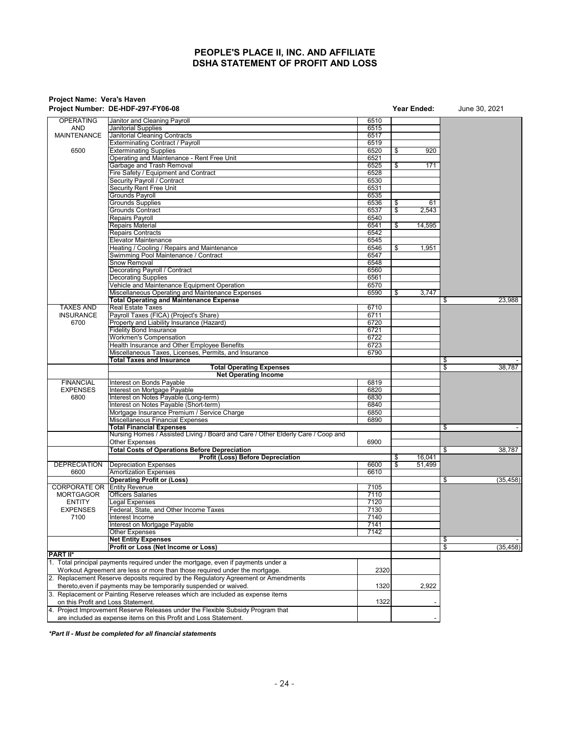## **PEOPLE'S PLACE II, INC. AND AFFILIATE DSHA STATEMENT OF PROFIT AND LOSS**

## **Project Name: Vera's Haven**

|                                    | Project Number: DE-HDF-297-FY06-08                                                                                                                               |              | Year Ended:  | June 30, 2021 |           |
|------------------------------------|------------------------------------------------------------------------------------------------------------------------------------------------------------------|--------------|--------------|---------------|-----------|
| <b>OPERATING</b>                   | Janitor and Cleaning Payroll                                                                                                                                     | 6510         |              |               |           |
| AND                                | <b>Janitorial Supplies</b>                                                                                                                                       | 6515         |              |               |           |
| <b>MAINTENANCE</b>                 | Janitorial Cleaning Contracts                                                                                                                                    | 6517         |              |               |           |
|                                    | <b>Exterminating Contract / Payroll</b>                                                                                                                          | 6519         |              |               |           |
| 6500                               | <b>Exterminating Supplies</b><br>Operating and Maintenance - Rent Free Unit                                                                                      | 6520<br>6521 | \$<br>920    |               |           |
|                                    | Garbage and Trash Removal                                                                                                                                        | 6525         | \$<br>171    |               |           |
|                                    | Fire Safety / Equipment and Contract                                                                                                                             | 6528         |              |               |           |
|                                    | Security Payroll / Contract                                                                                                                                      | 6530         |              |               |           |
|                                    | Security Rent Free Unit                                                                                                                                          | 6531         |              |               |           |
|                                    | <b>Grounds Payroll</b>                                                                                                                                           | 6535         |              |               |           |
|                                    | <b>Grounds Supplies</b>                                                                                                                                          | 6536         | \$<br>61     |               |           |
|                                    | Grounds Contract                                                                                                                                                 | 6537         | \$<br>2,543  |               |           |
|                                    | <b>Repairs Payroll</b><br><b>Repairs Material</b>                                                                                                                | 6540<br>6541 | \$           |               |           |
|                                    | <b>Repairs Contracts</b>                                                                                                                                         | 6542         | 14,595       |               |           |
|                                    | <b>Elevator Maintenance</b>                                                                                                                                      | 6545         |              |               |           |
|                                    | Heating / Cooling / Repairs and Maintenance                                                                                                                      | 6546         | \$<br>1,951  |               |           |
|                                    | Swimming Pool Maintenance / Contract                                                                                                                             | 6547         |              |               |           |
|                                    | Snow Removal                                                                                                                                                     | 6548         |              |               |           |
|                                    | Decorating Payroll / Contract                                                                                                                                    | 6560         |              |               |           |
|                                    | <b>Decorating Supplies</b>                                                                                                                                       | 6561         |              |               |           |
|                                    | Vehicle and Maintenance Equipment Operation                                                                                                                      | 6570         |              |               |           |
|                                    | Miscellaneous Operating and Maintenance Expenses                                                                                                                 | 6590         | \$<br>3,747  |               |           |
| <b>TAXES AND</b>                   | <b>Total Operating and Maintenance Expense</b><br><b>Real Estate Taxes</b>                                                                                       | 6710         |              | S             | 23,988    |
| <b>INSURANCE</b>                   | Payroll Taxes (FICA) (Project's Share)                                                                                                                           | 6711         |              |               |           |
| 6700                               | Property and Liability Insurance (Hazard)                                                                                                                        | 6720         |              |               |           |
|                                    | <b>Fidelity Bond Insurance</b>                                                                                                                                   | 6721         |              |               |           |
|                                    | Workmen's Compensation                                                                                                                                           | 6722         |              |               |           |
|                                    | Health Insurance and Other Employee Benefits                                                                                                                     | 6723         |              |               |           |
|                                    | Miscellaneous Taxes, Licenses, Permits, and Insurance                                                                                                            | 6790         |              |               |           |
|                                    | <b>Total Taxes and Insurance</b>                                                                                                                                 |              |              | \$            |           |
|                                    | <b>Total Operating Expenses</b><br><b>Net Operating Income</b>                                                                                                   |              |              | \$            | 38,787    |
| <b>FINANCIAL</b>                   | Interest on Bonds Payable                                                                                                                                        | 6819         |              |               |           |
| <b>EXPENSES</b>                    | Interest on Mortgage Payable                                                                                                                                     | 6820         |              |               |           |
| 6800                               | Interest on Notes Payable (Long-term)                                                                                                                            | 6830         |              |               |           |
|                                    | Interest on Notes Payable (Short-term)                                                                                                                           | 6840         |              |               |           |
|                                    | Mortgage Insurance Premium / Service Charge                                                                                                                      | 6850         |              |               |           |
|                                    | Miscellaneous Financial Expenses                                                                                                                                 | 6890         |              |               |           |
|                                    | <b>Total Financial Expenses</b><br>Nursing Homes / Assisted Living / Board and Care / Other Elderly Care / Coop and                                              |              |              | \$            |           |
|                                    | Other Expenses                                                                                                                                                   | 6900         |              |               |           |
|                                    | <b>Total Costs of Operations Before Depreciation</b>                                                                                                             |              |              | \$            | 38,787    |
|                                    | <b>Profit (Loss) Before Depreciation</b>                                                                                                                         |              | \$<br>16,041 |               |           |
| <b>DEPRECIATION</b>                | <b>Depreciation Expenses</b>                                                                                                                                     | 6600         | \$<br>51,499 |               |           |
| 6600                               | <b>Amortization Expenses</b>                                                                                                                                     | 6610         |              |               |           |
|                                    | <b>Operating Profit or (Loss)</b>                                                                                                                                |              |              | \$            | (35, 458) |
| <b>CORPORATE OR</b>                | <b>Entity Revenue</b>                                                                                                                                            | 7105         |              |               |           |
| <b>MORTGAGOR</b><br><b>ENTITY</b>  | <b>Officers Salaries</b><br>Legal Expenses                                                                                                                       | 7110<br>7120 |              |               |           |
| <b>EXPENSES</b>                    | Federal, State, and Other Income Taxes                                                                                                                           | 7130         |              |               |           |
| 7100                               | Interest Income                                                                                                                                                  | 7140         |              |               |           |
|                                    | Interest on Mortgage Payable                                                                                                                                     | 7141         |              |               |           |
|                                    | <b>Other Expenses</b>                                                                                                                                            | 7142         |              |               |           |
|                                    | <b>Net Entity Expenses</b>                                                                                                                                       |              |              | \$            |           |
|                                    | Profit or Loss (Net Income or Loss)                                                                                                                              |              |              | \$            | (35, 458) |
| <b>PART II*</b>                    |                                                                                                                                                                  |              |              |               |           |
|                                    | 1. Total principal payments required under the mortgage, even if payments under a                                                                                |              |              |               |           |
|                                    | Workout Agreement are less or more than those required under the mortgage.<br>2. Replacement Reserve deposits required by the Requlatory Agreement or Amendments | 2320         |              |               |           |
|                                    |                                                                                                                                                                  |              |              |               |           |
|                                    | thereto, even if payments may be temporarily suspended or waived.<br>3. Replacement or Painting Reserve releases which are included as expense items             | 1320         | 2,922        |               |           |
| on this Profit and Loss Statement. |                                                                                                                                                                  | 1322         |              |               |           |
|                                    | 4. Project Improvement Reserve Releases under the Flexible Subsidy Program that                                                                                  |              |              |               |           |
|                                    | are included as expense items on this Profit and Loss Statement.                                                                                                 |              |              |               |           |
|                                    |                                                                                                                                                                  |              |              |               |           |

*\*Part II - Must be completed for all financial statements*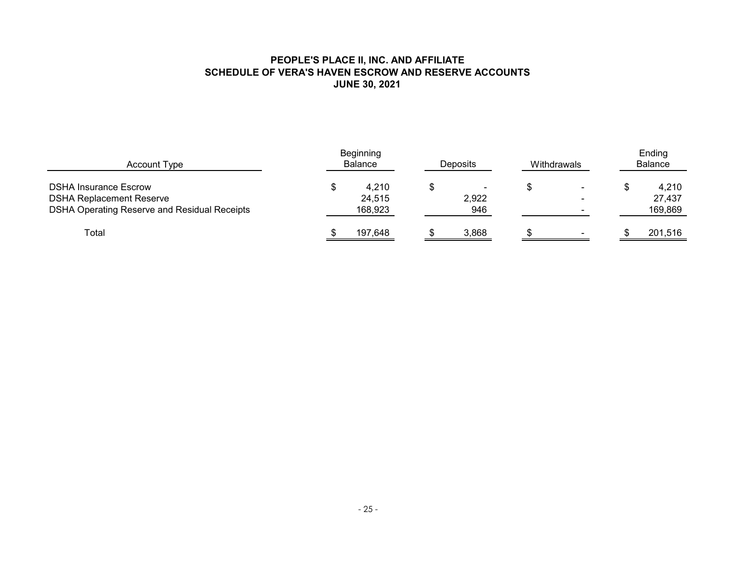## **JUNE 30, 2021 PEOPLE'S PLACE II, INC. AND AFFILIATE SCHEDULE OF VERA'S HAVEN ESCROW AND RESERVE ACCOUNTS**

| Account Type                                                    | Beginning<br><b>Balance</b> | <b>Deposits</b> | Withdrawals                       | Ending<br><b>Balance</b> |                 |  |
|-----------------------------------------------------------------|-----------------------------|-----------------|-----------------------------------|--------------------------|-----------------|--|
| <b>DSHA Insurance Escrow</b><br><b>DSHA Replacement Reserve</b> | 4,210<br>24,515             |                 | $\overline{\phantom{0}}$<br>2,922 |                          | 4,210<br>27,437 |  |
| DSHA Operating Reserve and Residual Receipts                    | 168,923                     |                 | 946                               |                          | 169,869         |  |
| Total                                                           | 197,648                     |                 | 3.868                             |                          | 201,516         |  |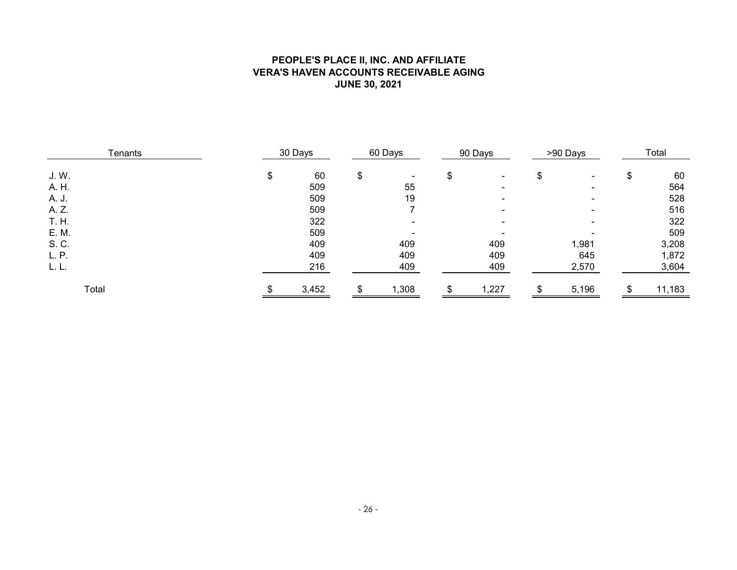## **PEOPLE'S PLACE II, INC. AND AFFILIATE VERA'S HAVEN ACCOUNTS RECEIVABLE AGING JUNE 30, 2021**

| Tenants | 30 Days |    | 60 Days |    | 90 Days |  | >90 Days | Total |        |
|---------|---------|----|---------|----|---------|--|----------|-------|--------|
| J.W.    | 60      | \$ |         | \$ |         |  | $\,$     | \$    | 60     |
| A. H.   | 509     |    | 55      |    |         |  |          |       | 564    |
| A. J.   | 509     |    | 19      |    |         |  |          |       | 528    |
| A. Z.   | 509     |    |         |    |         |  |          |       | 516    |
| T. H.   | 322     |    |         |    |         |  |          |       | 322    |
| E. M.   | 509     |    |         |    |         |  |          |       | 509    |
| S. C.   | 409     |    | 409     |    | 409     |  | 1,981    |       | 3,208  |
| L. P.   | 409     |    | 409     |    | 409     |  | 645      |       | 1,872  |
| L. L.   | 216     |    | 409     |    | 409     |  | 2,570    |       | 3,604  |
| Total   | 3,452   |    | 1,308   |    | 1,227   |  | 5,196    |       | 11,183 |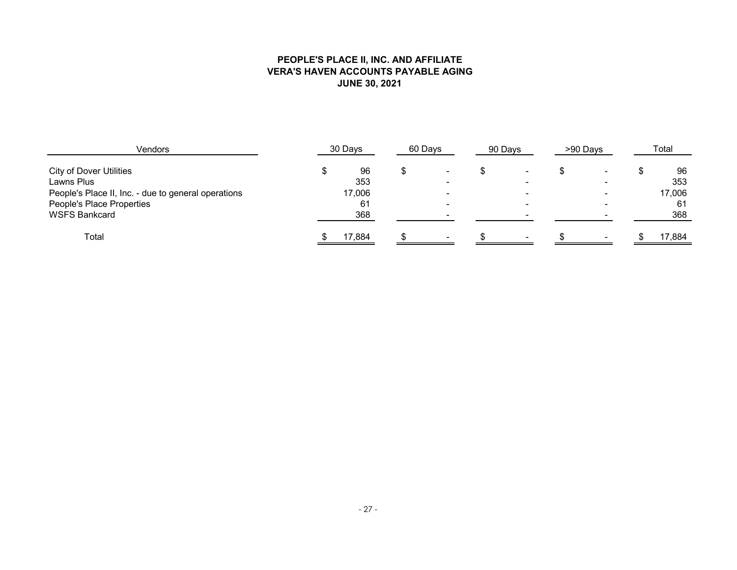## **JUNE 30, 2021 VERA'S HAVEN ACCOUNTS PAYABLE AGING PEOPLE'S PLACE II, INC. AND AFFILIATE**

| Vendors                                             |   | 30 Days |  | 60 Days<br>90 Days       |  |                          | >90 Days |  | Total |        |
|-----------------------------------------------------|---|---------|--|--------------------------|--|--------------------------|----------|--|-------|--------|
| City of Dover Utilities                             | Œ | 96      |  | $\overline{\phantom{a}}$ |  | $\overline{\phantom{0}}$ |          |  |       | 96     |
| Lawns Plus                                          |   | 353     |  | $\overline{\phantom{a}}$ |  | $\overline{\phantom{0}}$ |          |  |       | 353    |
| People's Place II, Inc. - due to general operations |   | 17,006  |  | $\overline{\phantom{a}}$ |  | -                        |          |  |       | 17,006 |
| People's Place Properties                           |   | 61      |  | $\overline{\phantom{a}}$ |  |                          |          |  |       | 61     |
| <b>WSFS Bankcard</b>                                |   | 368     |  |                          |  |                          |          |  |       | 368    |
| Total                                               |   | 17,884  |  | $\overline{\phantom{a}}$ |  | $\sim$                   |          |  |       | 17,884 |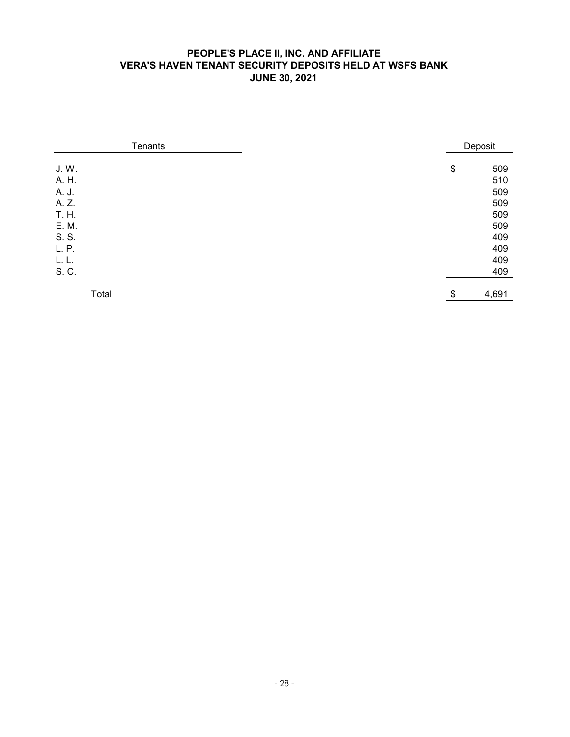## **PEOPLE'S PLACE II, INC. AND AFFILIATE VERA'S HAVEN TENANT SECURITY DEPOSITS HELD AT WSFS BANK JUNE 30, 2021**

| Tenants | Deposit     |
|---------|-------------|
| J.W.    | \$<br>509   |
| A. H.   | 510         |
| A. J.   | 509         |
| A. Z.   | 509         |
| T. H.   | 509         |
| E. M.   | 509         |
| S. S.   | 409         |
| L. P.   | 409         |
| L, L.   | 409         |
| S. C.   | 409         |
| Total   | \$<br>4,691 |
|         |             |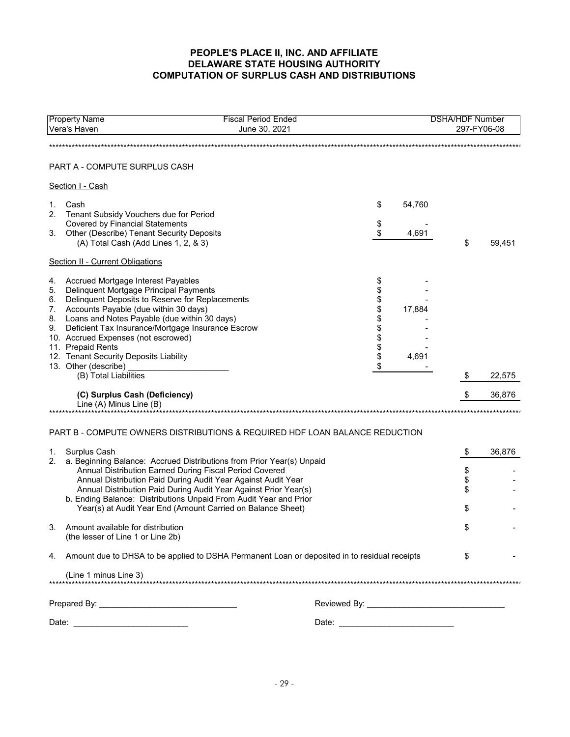## **DELAWARE STATE HOUSING AUTHORITY COMPUTATION OF SURPLUS CASH AND DISTRIBUTIONS PEOPLE'S PLACE II, INC. AND AFFILIATE**

|          | <b>Property Name</b>                                                                      | <b>Fiscal Period Ended</b>                                                                   |                  |        | <b>DSHA/HDF Number</b> |        |
|----------|-------------------------------------------------------------------------------------------|----------------------------------------------------------------------------------------------|------------------|--------|------------------------|--------|
|          | Vera's Haven                                                                              | June 30, 2021                                                                                |                  |        | 297-FY06-08            |        |
|          |                                                                                           |                                                                                              |                  |        |                        |        |
|          |                                                                                           |                                                                                              |                  |        |                        |        |
|          | PART A - COMPUTE SURPLUS CASH                                                             |                                                                                              |                  |        |                        |        |
|          |                                                                                           |                                                                                              |                  |        |                        |        |
|          | Section I - Cash                                                                          |                                                                                              |                  |        |                        |        |
|          |                                                                                           |                                                                                              |                  |        |                        |        |
| 1.       | Cash                                                                                      |                                                                                              | \$               | 54,760 |                        |        |
| 2.       | Tenant Subsidy Vouchers due for Period                                                    |                                                                                              |                  |        |                        |        |
|          | <b>Covered by Financial Statements</b>                                                    |                                                                                              | \$               |        |                        |        |
| 3.       | Other (Describe) Tenant Security Deposits                                                 |                                                                                              | \$               | 4,691  |                        |        |
|          | (A) Total Cash (Add Lines 1, 2, & 3)                                                      |                                                                                              |                  |        | \$                     | 59,451 |
|          | Section II - Current Obligations                                                          |                                                                                              |                  |        |                        |        |
|          |                                                                                           |                                                                                              |                  |        |                        |        |
| 4.       | Accrued Mortgage Interest Payables                                                        |                                                                                              | \$               |        |                        |        |
| 5.<br>6. | Delinquent Mortgage Principal Payments<br>Delinquent Deposits to Reserve for Replacements |                                                                                              | \$               |        |                        |        |
| 7.       | Accounts Payable (due within 30 days)                                                     |                                                                                              | \$\$\$\$\$\$\$\$ | 17,884 |                        |        |
| 8.       | Loans and Notes Payable (due within 30 days)                                              |                                                                                              |                  |        |                        |        |
| 9.       | Deficient Tax Insurance/Mortgage Insurance Escrow                                         |                                                                                              |                  |        |                        |        |
|          | 10. Accrued Expenses (not escrowed)                                                       |                                                                                              |                  |        |                        |        |
|          | 11. Prepaid Rents                                                                         |                                                                                              |                  |        |                        |        |
|          | 12. Tenant Security Deposits Liability                                                    |                                                                                              |                  | 4,691  |                        |        |
|          | 13. Other (describe)                                                                      |                                                                                              |                  |        |                        |        |
|          | (B) Total Liabilities                                                                     |                                                                                              |                  |        | \$                     | 22,575 |
|          |                                                                                           |                                                                                              |                  |        |                        |        |
|          | (C) Surplus Cash (Deficiency)<br>Line (A) Minus Line (B)                                  |                                                                                              |                  |        | \$                     | 36,876 |
|          |                                                                                           |                                                                                              |                  |        |                        |        |
|          |                                                                                           | PART B - COMPUTE OWNERS DISTRIBUTIONS & REQUIRED HDF LOAN BALANCE REDUCTION                  |                  |        |                        |        |
|          |                                                                                           |                                                                                              |                  |        |                        |        |
| 1.       | Surplus Cash                                                                              |                                                                                              |                  |        | \$                     | 36,876 |
| 2.       |                                                                                           | a. Beginning Balance: Accrued Distributions from Prior Year(s) Unpaid                        |                  |        |                        |        |
|          | Annual Distribution Earned During Fiscal Period Covered                                   |                                                                                              |                  |        | \$                     |        |
|          |                                                                                           | Annual Distribution Paid During Audit Year Against Audit Year                                |                  |        | \$                     |        |
|          |                                                                                           | Annual Distribution Paid During Audit Year Against Prior Year(s)                             |                  |        | \$                     |        |
|          |                                                                                           | b. Ending Balance: Distributions Unpaid From Audit Year and Prior                            |                  |        |                        |        |
|          |                                                                                           | Year(s) at Audit Year End (Amount Carried on Balance Sheet)                                  |                  |        | \$                     |        |
| 3.       | Amount available for distribution                                                         |                                                                                              |                  |        | \$                     |        |
|          | (the lesser of Line 1 or Line 2b)                                                         |                                                                                              |                  |        |                        |        |
| 4.       |                                                                                           | Amount due to DHSA to be applied to DSHA Permanent Loan or deposited in to residual receipts |                  |        | \$                     |        |
|          | (Line 1 minus Line 3)                                                                     |                                                                                              |                  |        |                        |        |
|          |                                                                                           |                                                                                              |                  |        |                        |        |
|          |                                                                                           |                                                                                              |                  |        |                        |        |
|          |                                                                                           |                                                                                              |                  |        |                        |        |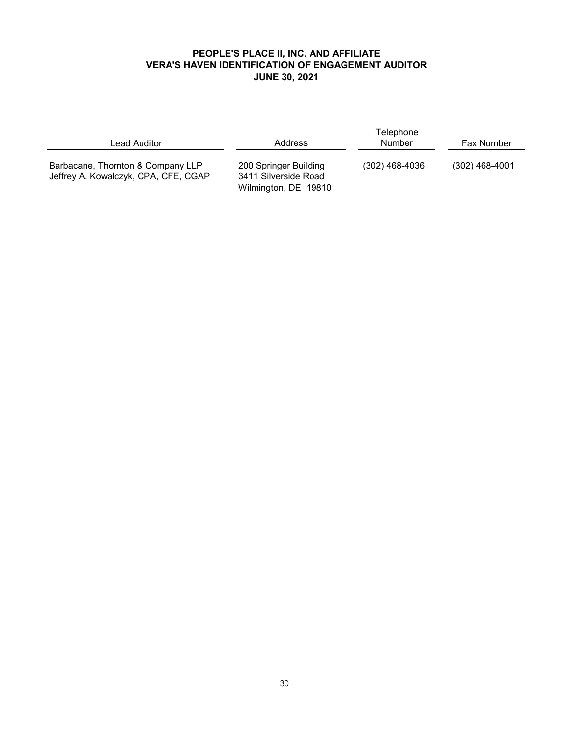## **PEOPLE'S PLACE II, INC. AND AFFILIATE VERA'S HAVEN IDENTIFICATION OF ENGAGEMENT AUDITOR JUNE 30, 2021**

|                                                                           | Telephone                                                             |                  |                   |
|---------------------------------------------------------------------------|-----------------------------------------------------------------------|------------------|-------------------|
| Lead Auditor                                                              | <b>Address</b>                                                        | <b>Number</b>    | <b>Fax Number</b> |
| Barbacane, Thornton & Company LLP<br>Jeffrey A. Kowalczyk, CPA, CFE, CGAP | 200 Springer Building<br>3411 Silverside Road<br>Wilmington, DE 19810 | $(302)$ 468-4036 | $(302)$ 468-4001  |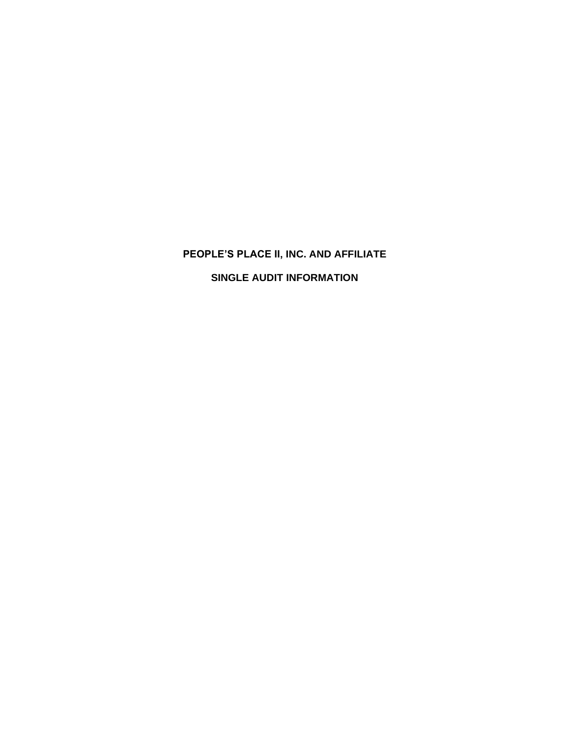## **SINGLE AUDIT INFORMATION**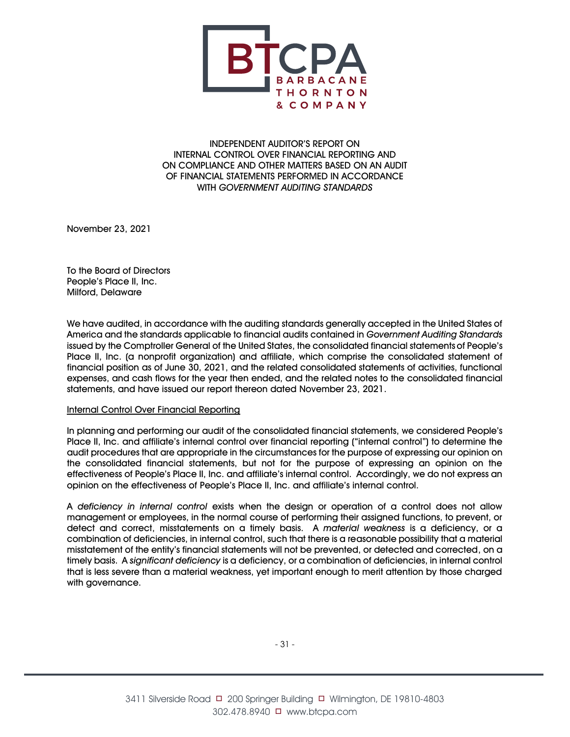

INDEPENDENT AUDITOR'S REPORT ON INTERNAL CONTROL OVER FINANCIAL REPORTING AND ON COMPLIANCE AND OTHER MATTERS BASED ON AN AUDIT OF FINANCIAL STATEMENTS PERFORMED IN ACCORDANCE WITH *GOVERNMENT AUDITING STANDARDS*

November 23, 2021

To the Board of Directors People's Place II, Inc. Milford, Delaware

We have audited, in accordance with the auditing standards generally accepted in the United States of America and the standards applicable to financial audits contained in *Government Auditing Standards*  issued by the Comptroller General of the United States, the consolidated financial statements of People's Place II, Inc. (a nonprofit organization) and affiliate, which comprise the consolidated statement of financial position as of June 30, 2021, and the related consolidated statements of activities, functional expenses, and cash flows for the year then ended, and the related notes to the consolidated financial statements, and have issued our report thereon dated November 23, 2021.

#### Internal Control Over Financial Reporting

In planning and performing our audit of the consolidated financial statements, we considered People's Place II, Inc. and affiliate's internal control over financial reporting ("internal control") to determine the audit procedures that are appropriate in the circumstances for the purpose of expressing our opinion on the consolidated financial statements, but not for the purpose of expressing an opinion on the effectiveness of People's Place II, Inc. and affiliate's internal control. Accordingly, we do not express an opinion on the effectiveness of People's Place II, Inc. and affiliate's internal control.

A *deficiency in internal control* exists when the design or operation of a control does not allow management or employees, in the normal course of performing their assigned functions, to prevent, or detect and correct, misstatements on a timely basis. A *material weakness* is a deficiency, or a combination of deficiencies, in internal control, such that there is a reasonable possibility that a material misstatement of the entity's financial statements will not be prevented, or detected and corrected, on a timely basis. A *significant deficiency* is a deficiency, or a combination of deficiencies, in internal control that is less severe than a material weakness, yet important enough to merit attention by those charged with governance.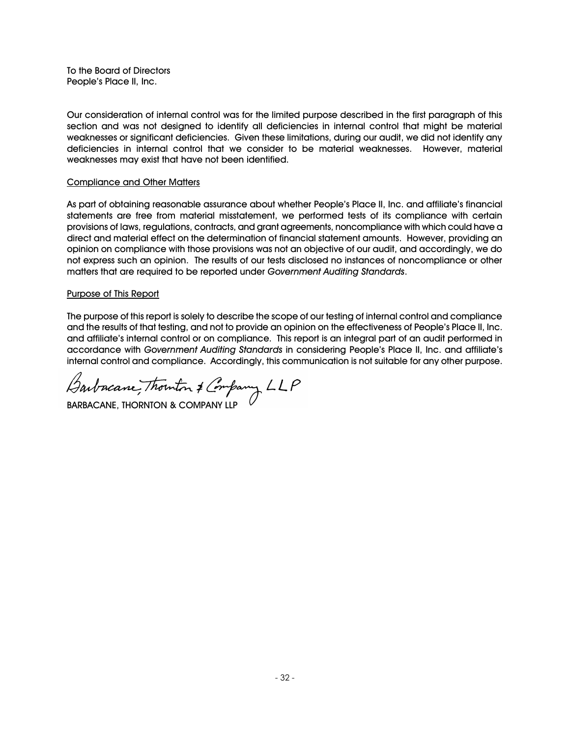To the Board of Directors People's Place II, Inc.

Our consideration of internal control was for the limited purpose described in the first paragraph of this section and was not designed to identify all deficiencies in internal control that might be material weaknesses or significant deficiencies. Given these limitations, during our audit, we did not identify any deficiencies in internal control that we consider to be material weaknesses. However, material weaknesses may exist that have not been identified.

#### Compliance and Other Matters

As part of obtaining reasonable assurance about whether People's Place II, Inc. and affiliate's financial statements are free from material misstatement, we performed tests of its compliance with certain provisions of laws, regulations, contracts, and grant agreements, noncompliance with which could have a direct and material effect on the determination of financial statement amounts. However, providing an opinion on compliance with those provisions was not an objective of our audit, and accordingly, we do not express such an opinion. The results of our tests disclosed no instances of noncompliance or other matters that are required to be reported under *Government Auditing Standards*.

#### Purpose of This Report

The purpose of this report is solely to describe the scope of our testing of internal control and compliance and the results of that testing, and not to provide an opinion on the effectiveness of People's Place II, Inc. and affiliate's internal control or on compliance. This report is an integral part of an audit performed in accordance with *Government Auditing Standards* in considering People's Place II, Inc. and affiliate's internal control and compliance. Accordingly, this communication is not suitable for any other purpose.

Barbacane, Thomton & Company LLP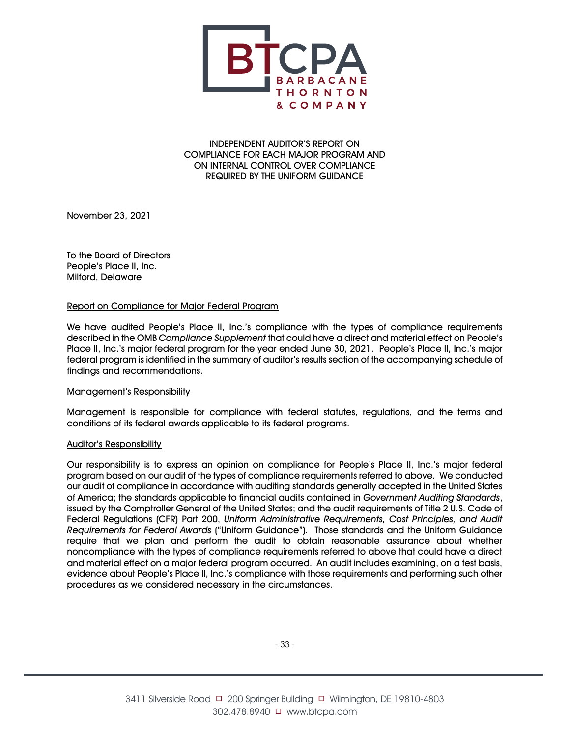

INDEPENDENT AUDITOR'S REPORT ON COMPLIANCE FOR EACH MAJOR PROGRAM AND ON INTERNAL CONTROL OVER COMPLIANCE REQUIRED BY THE UNIFORM GUIDANCE

November 23, 2021

To the Board of Directors People's Place II, Inc. Milford, Delaware

#### Report on Compliance for Major Federal Program

We have audited People's Place II, Inc.'s compliance with the types of compliance requirements described in the OMB *Compliance Supplement* that could have a direct and material effect on People's Place II, Inc.'s major federal program for the year ended June 30, 2021. People's Place II, Inc.'s major federal program is identified in the summary of auditor's results section of the accompanying schedule of findings and recommendations.

#### Management's Responsibility

Management is responsible for compliance with federal statutes, regulations, and the terms and conditions of its federal awards applicable to its federal programs.

#### Auditor's Responsibility

Our responsibility is to express an opinion on compliance for People's Place II, Inc.'s major federal program based on our audit of the types of compliance requirements referred to above. We conducted our audit of compliance in accordance with auditing standards generally accepted in the United States of America; the standards applicable to financial audits contained in *Government Auditing Standards*, issued by the Comptroller General of the United States; and the audit requirements of Title 2 U.S. Code of Federal Regulations (CFR) Part 200, *Uniform Administrative Requirements, Cost Principles, and Audit Requirements for Federal Awards* ("Uniform Guidance"). Those standards and the Uniform Guidance require that we plan and perform the audit to obtain reasonable assurance about whether noncompliance with the types of compliance requirements referred to above that could have a direct and material effect on a major federal program occurred. An audit includes examining, on a test basis, evidence about People's Place II, Inc.'s compliance with those requirements and performing such other procedures as we considered necessary in the circumstances.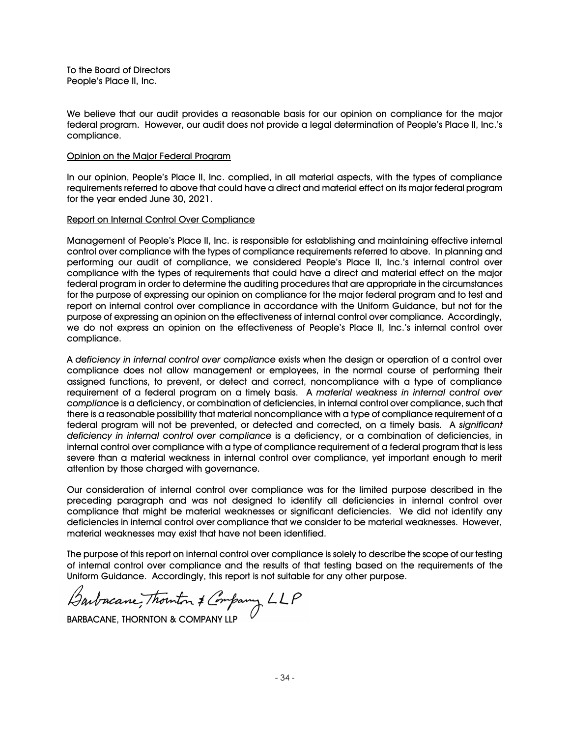To the Board of Directors People's Place II, Inc.

We believe that our audit provides a reasonable basis for our opinion on compliance for the major federal program. However, our audit does not provide a legal determination of People's Place II, Inc.'s compliance.

#### Opinion on the Major Federal Program

In our opinion, People's Place II, Inc. complied, in all material aspects, with the types of compliance requirements referred to above that could have a direct and material effect on its major federal program for the year ended June 30, 2021.

#### Report on Internal Control Over Compliance

Management of People's Place II, Inc. is responsible for establishing and maintaining effective internal control over compliance with the types of compliance requirements referred to above. In planning and performing our audit of compliance, we considered People's Place II, Inc.'s internal control over compliance with the types of requirements that could have a direct and material effect on the major federal program in order to determine the auditing procedures that are appropriate in the circumstances for the purpose of expressing our opinion on compliance for the major federal program and to test and report on internal control over compliance in accordance with the Uniform Guidance, but not for the purpose of expressing an opinion on the effectiveness of internal control over compliance. Accordingly, we do not express an opinion on the effectiveness of People's Place II, Inc.'s internal control over compliance.

A *deficiency in internal control over compliance* exists when the design or operation of a control over compliance does not allow management or employees, in the normal course of performing their assigned functions, to prevent, or detect and correct, noncompliance with a type of compliance requirement of a federal program on a timely basis. A *material weakness in internal control over compliance* is a deficiency, or combination of deficiencies, in internal control over compliance, such that there is a reasonable possibility that material noncompliance with a type of compliance requirement of a federal program will not be prevented, or detected and corrected, on a timely basis. A *significant deficiency in internal control over compliance* is a deficiency, or a combination of deficiencies, in internal control over compliance with a type of compliance requirement of a federal program that is less severe than a material weakness in internal control over compliance, yet important enough to merit attention by those charged with governance.

Our consideration of internal control over compliance was for the limited purpose described in the preceding paragraph and was not designed to identify all deficiencies in internal control over compliance that might be material weaknesses or significant deficiencies. We did not identify any deficiencies in internal control over compliance that we consider to be material weaknesses. However, material weaknesses may exist that have not been identified.

The purpose of this report on internal control over compliance is solely to describe the scope of our testing of internal control over compliance and the results of that testing based on the requirements of the Uniform Guidance. Accordingly, this report is not suitable for any other purpose.

Barbacane, Thomton & Company LLP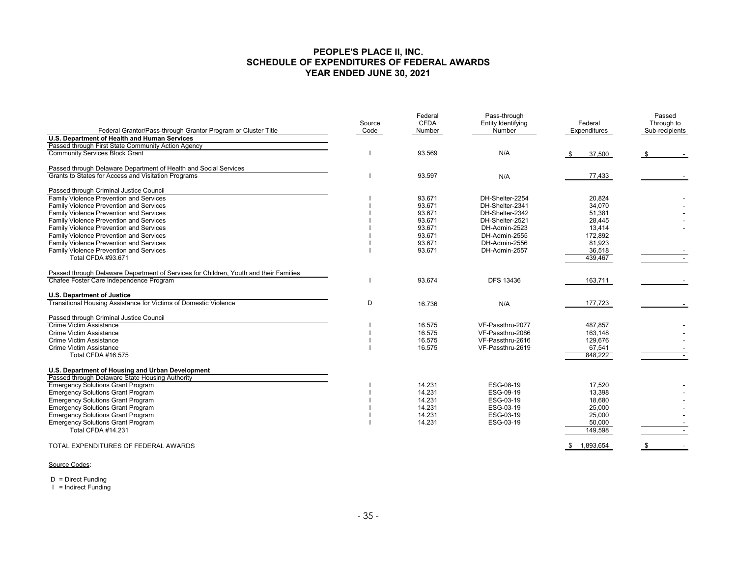#### **PEOPLE'S PLACE II, INC. SCHEDULE OF EXPENDITURES OF FEDERAL AWARDS YEAR ENDED JUNE 30, 2021**

|                                                                                       | Source | Federal<br><b>CFDA</b> | Pass-through<br>Entity Identifying | Federal      | Passed<br>Through to |
|---------------------------------------------------------------------------------------|--------|------------------------|------------------------------------|--------------|----------------------|
| Federal Grantor/Pass-through Grantor Program or Cluster Title                         | Code   | Number                 | Number                             | Expenditures | Sub-recipients       |
| U.S. Department of Health and Human Services                                          |        |                        |                                    |              |                      |
| Passed through First State Community Action Agency                                    |        |                        |                                    |              |                      |
| <b>Community Services Block Grant</b>                                                 |        | 93.569                 | N/A                                | 37,500<br>-S |                      |
| Passed through Delaware Department of Health and Social Services                      |        |                        |                                    |              |                      |
| Grants to States for Access and Visitation Programs                                   |        | 93.597                 | N/A                                | 77,433       |                      |
| Passed through Criminal Justice Council                                               |        |                        |                                    |              |                      |
| <b>Family Violence Prevention and Services</b>                                        |        | 93.671                 | DH-Shelter-2254                    | 20,824       |                      |
| Family Violence Prevention and Services                                               |        | 93.671                 | DH-Shelter-2341                    | 34,070       |                      |
| Family Violence Prevention and Services                                               |        | 93.671                 | DH-Shelter-2342                    | 51,381       |                      |
| Family Violence Prevention and Services                                               |        | 93.671                 | DH-Shelter-2521                    | 28,445       |                      |
| Family Violence Prevention and Services                                               |        | 93.671                 | DH-Admin-2523                      | 13,414       |                      |
| Family Violence Prevention and Services                                               |        | 93.671                 | DH-Admin-2555                      | 172,892      |                      |
| Family Violence Prevention and Services                                               |        | 93.671                 | DH-Admin-2556                      | 81,923       |                      |
| Family Violence Prevention and Services                                               |        | 93.671                 | DH-Admin-2557                      | 36,518       |                      |
| Total CFDA #93.671                                                                    |        |                        |                                    | 439,467      |                      |
| Passed through Delaware Department of Services for Children, Youth and their Families |        |                        |                                    |              |                      |
| Chafee Foster Care Independence Program                                               |        | 93.674                 | <b>DFS 13436</b>                   | 163,711      |                      |
| <b>U.S. Department of Justice</b>                                                     |        |                        |                                    |              |                      |
| Transitional Housing Assistance for Victims of Domestic Violence                      | D      | 16.736                 | N/A                                | 177,723      |                      |
| Passed through Criminal Justice Council                                               |        |                        |                                    |              |                      |
| Crime Victim Assistance                                                               |        | 16.575                 | VF-Passthru-2077                   | 487,857      |                      |
| <b>Crime Victim Assistance</b>                                                        |        | 16.575                 | VF-Passthru-2086                   | 163,148      |                      |
| Crime Victim Assistance                                                               |        | 16.575                 | VF-Passthru-2616                   | 129,676      |                      |
| Crime Victim Assistance                                                               |        | 16.575                 | VF-Passthru-2619                   | 67,541       |                      |
| <b>Total CFDA #16.575</b>                                                             |        |                        |                                    | 848,222      |                      |
| U.S. Department of Housing and Urban Development                                      |        |                        |                                    |              |                      |
| Passed through Delaware State Housing Authority                                       |        |                        |                                    |              |                      |
| <b>Emergency Solutions Grant Program</b>                                              |        | 14.231                 | ESG-08-19                          | 17,520       |                      |
| <b>Emergency Solutions Grant Program</b>                                              |        | 14.231                 | ESG-09-19                          | 13,398       |                      |
| <b>Emergency Solutions Grant Program</b>                                              |        | 14.231                 | ESG-03-19                          | 18,680       |                      |
| <b>Emergency Solutions Grant Program</b>                                              |        | 14.231                 | ESG-03-19                          | 25,000       |                      |
| <b>Emergency Solutions Grant Program</b>                                              |        | 14.231                 | ESG-03-19                          | 25,000       |                      |
| <b>Emergency Solutions Grant Program</b>                                              |        | 14.231                 | ESG-03-19                          | 50,000       |                      |
| <b>Total CFDA #14.231</b>                                                             |        |                        |                                    | 149,598      | $\sim$               |
| TOTAL EXPENDITURES OF FEDERAL AWARDS                                                  |        |                        |                                    | \$1,893,654  |                      |

Source Codes:

D = Direct Funding

I = Indirect Funding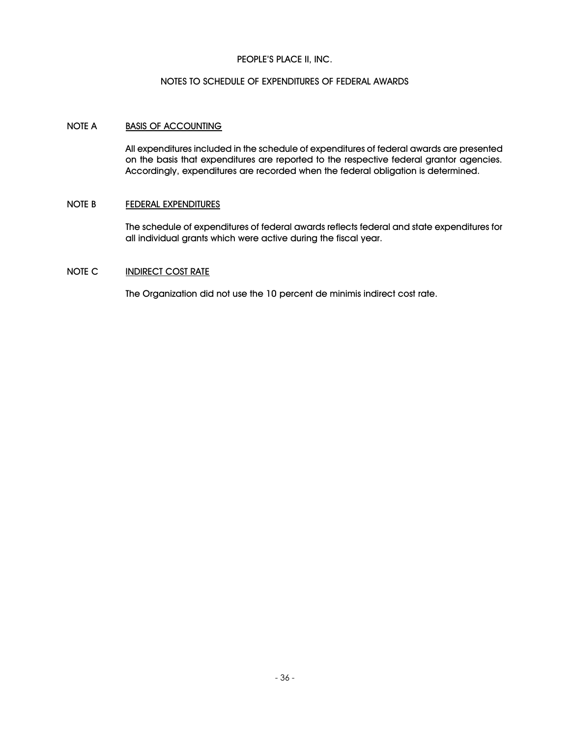#### NOTES TO SCHEDULE OF EXPENDITURES OF FEDERAL AWARDS

#### NOTE A BASIS OF ACCOUNTING

All expenditures included in the schedule of expenditures of federal awards are presented on the basis that expenditures are reported to the respective federal grantor agencies. Accordingly, expenditures are recorded when the federal obligation is determined.

#### NOTE B FEDERAL EXPENDITURES

The schedule of expenditures of federal awards reflects federal and state expenditures for all individual grants which were active during the fiscal year.

### NOTE C **INDIRECT COST RATE**

The Organization did not use the 10 percent de minimis indirect cost rate.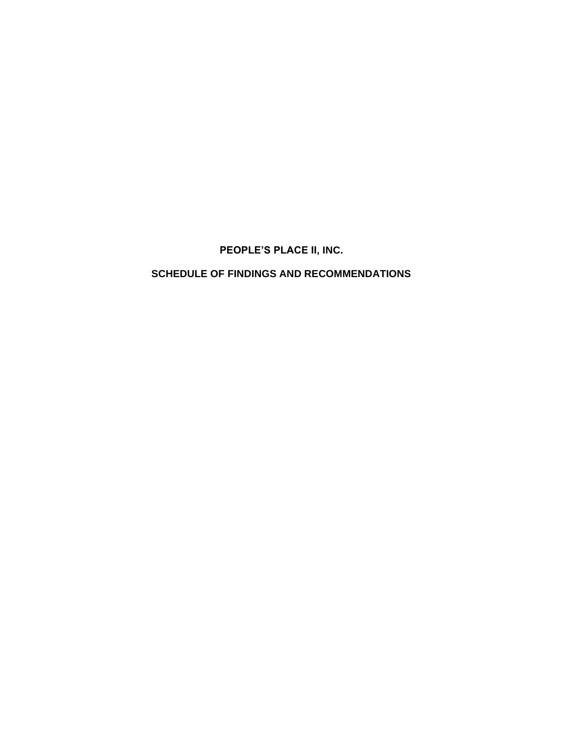## **SCHEDULE OF FINDINGS AND RECOMMENDATIONS**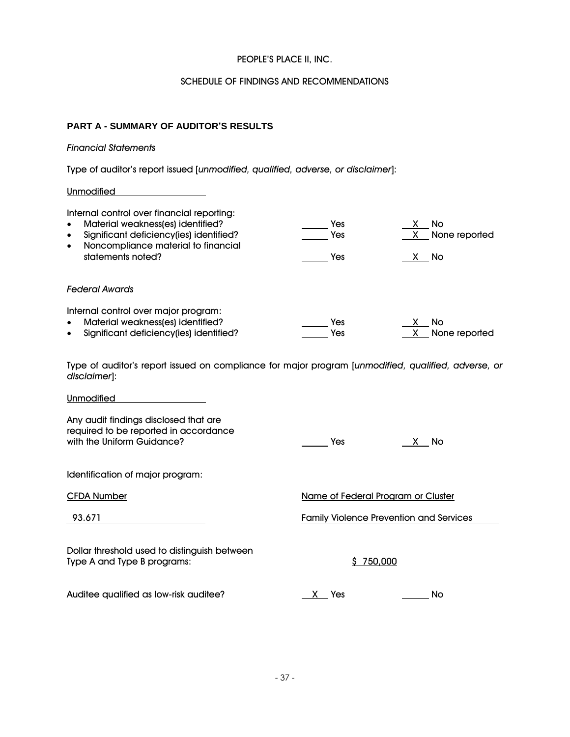#### SCHEDULE OF FINDINGS AND RECOMMENDATIONS

## **PART A - SUMMARY OF AUDITOR'S RESULTS**

#### *Financial Statements*

Type of auditor's report issued [*unmodified, qualified, adverse, or disclaimer*]:

Unmodified

Internal control over financial reporting:

| Material weakness(es) identified?<br>$\bullet$<br>Significant deficiency(ies) identified?<br>$\bullet$<br>Noncompliance material to financial<br>$\bullet$<br>statements noted? | Yes<br>Yes<br>Yes | No<br>None reported<br>- No |
|---------------------------------------------------------------------------------------------------------------------------------------------------------------------------------|-------------------|-----------------------------|
| <b>Federal Awards</b>                                                                                                                                                           |                   |                             |
| Internal control over major program:<br>Material weakness(es) identified?<br>$\bullet$<br>Significant deficiency(ies) identified?<br>$\bullet$                                  | Yes<br>Yes        | No<br>None reported         |

Type of auditor's report issued on compliance for major program [*unmodified, qualified, adverse, or disclaimer*]:

Unmodified

Any audit findings disclosed that are required to be reported in accordance with the Uniform Guidance?  $\frac{\ }{\ }$  Yes  $\frac{X}{X}$  No

Identification of major program:

CFDA Number Name of Federal Program or Cluster

93.671 Family Violence Prevention and Services

Dollar threshold used to distinguish between Type A and Type B programs:  $\frac{1}{2}$  50,000

Auditee qualified as low-risk auditee? 
Washington Society Auditee and Society Alexander Mo